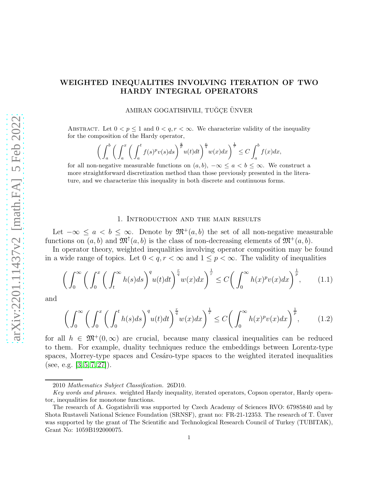# WEIGHTED INEQUALITIES INVOLVING ITERATION OF TWO HARDY INTEGRAL OPERATORS

# AMIRAN GOGATISHVILI, TUĞÇE ÜNVER

ABSTRACT. Let  $0 < p \leq 1$  and  $0 < q, r < \infty$ . We characterize validity of the inequality for the composition of the Hardy operator,

$$
\bigg(\int_a^b \bigg(\int_a^x \bigg(\int_a^t f(s)^p v(s) ds\bigg)^{\frac{q}{p}} u(t) dt\bigg)^{\frac{r}{q}} w(x) dx\bigg)^{\frac{1}{r}} \le C \int_a^b f(x) dx,
$$

for all non-negative measurable functions on  $(a, b)$ ,  $-\infty \le a < b \le \infty$ . We construct a more straightforward discretization method than those previously presented in the literature, and we characterize this inequality in both discrete and continuous forms.

#### 1. Introduction and the main results

Let  $-\infty \le a < b \le \infty$ . Denote by  $\mathfrak{M}^+(a, b)$  the set of all non-negative measurable functions on  $(a, b)$  and  $\mathfrak{M}^{\uparrow}(a, b)$  is the class of non-decreasing elements of  $\mathfrak{M}^+(a, b)$ .

In operator theory, weighted inequalities involving operator composition may be found in a wide range of topics. Let  $0 < q, r < \infty$  and  $1 \leq p < \infty$ . The validity of inequalities

<span id="page-0-0"></span>
$$
\left(\int_0^\infty \left(\int_0^x \left(\int_t^\infty h(s)ds\right)^q u(t)dt\right)^{\frac{r}{q}} w(x)dx\right)^{\frac{1}{r}} \le C\left(\int_0^\infty h(x)^p v(x)dx\right)^{\frac{1}{p}},\tag{1.1}
$$

and

<span id="page-0-1"></span>
$$
\left(\int_0^\infty \left(\int_0^x \left(\int_0^t h(s)ds\right)^q u(t)dt\right)^{\frac{r}{q}} w(x)dx\right)^{\frac{1}{r}} \le C\left(\int_0^\infty h(x)^p v(x)dx\right)^{\frac{1}{p}},\tag{1.2}
$$

for all  $h \in \mathfrak{M}^+(0,\infty)$  are crucial, because many classical inequalities can be reduced to them. For example, duality techniques reduce the embeddings between Lorentz-type spaces, Morrey-type spaces and Cesaro-type spaces to the weighted iterated inequalities (see, e.g.  $[3, 5, 7, 27]$  $[3, 5, 7, 27]$  $[3, 5, 7, 27]$  $[3, 5, 7, 27]$ ).

<sup>2010</sup> *Mathematics Subject Classification.* 26D10.

*Key words and phrases.* weighted Hardy inequality, iterated operators, Copson operator, Hardy operator, inequalities for monotone functions.

The research of A. Gogatishvili was supported by Czech Academy of Sciences RVO: 67985840 and by Shota Rustaveli National Science Foundation (SRNSF), grant no: FR-21-12353. The research of T. Unver was supported by the grant of The Scientific and Technological Research Council of Turkey (TUBITAK), Grant No: 1059B192000075.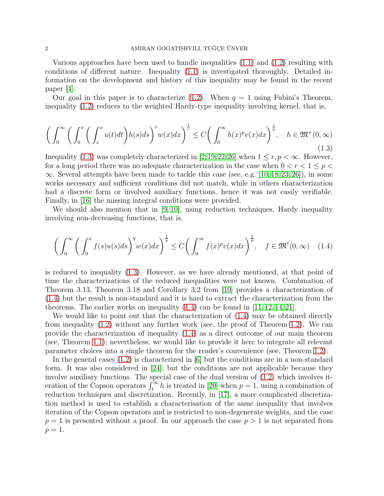Various approaches have been used to handle inequalities [\(1.1\)](#page-0-0) and [\(1.2\)](#page-0-1) resulting with conditions of different nature. Inequality [\(1.1\)](#page-0-0) is investigated thoroughly. Detailed information on the development and history of this inequality may be found in the recent paper [\[4\]](#page-22-3).

Our goal in this paper is to characterize  $(1.2)$ . When  $q = 1$  using Fubini's Theorem, inequality [\(1.2\)](#page-0-1) reduces to the weighted Hardy-type inequality involving kernel, that is,

<span id="page-1-0"></span>
$$
\left(\int_0^\infty \left(\int_0^x \left(\int_s^x u(t)dt\right)h(s)ds\right)^r w(x)dx\right)^{\frac{1}{r}} \le C\left(\int_0^\infty h(x)^pv(x)dx\right)^{\frac{1}{p}}, \quad h \in \mathfrak{M}^+(0,\infty)
$$
\n(1.3)

Inequality [\(1.3\)](#page-1-0) was completely characterized in [\[2,](#page-22-4)[19,](#page-23-1)[22,](#page-23-2)[26\]](#page-23-3) when  $1 \leq r, p < \infty$ . However, for a long period there was no adequate characterization in the case when  $0 < r < 1 \leq p <$ ∞. Several attempts have been made to tackle this case (see, e.g. [\[10,](#page-22-5) [18,](#page-23-4) [23,](#page-23-5) [26\]](#page-23-3)), in some works necessary and sufficient conditions did not match, while in others characterization had a discrete form or involved auxiliary functions, hence it was not easily verifiable. Finally, in [\[16\]](#page-23-6) the missing integral conditions were provided.

We should also mention that in [\[9,](#page-22-6) [10\]](#page-22-5), using reduction techniques, Hardy inequality involving non-decreasing functions, that is,

<span id="page-1-1"></span>
$$
\left(\int_0^\infty \left(\int_0^x f(s)u(s)ds\right)^q w(x)dx\right)^{\frac{1}{q}} \le C\left(\int_0^\infty f(x)^p v(x)dx\right)^{\frac{1}{p}}, \quad f \in \mathfrak{M}^\uparrow(0,\infty) \quad (1.4)
$$

is reduced to inequality [\(1.3\)](#page-1-0). However, as we have already mentioned, at that point of time the characterizations of the reduced inequalities were not known. Combination of Theorem 3.13, Theorem 3.18 and Corollary 3.2 from [\[10\]](#page-22-5) provides a characterization of [\(1.4\)](#page-1-1) but the result is non-standard and it is hard to extract the characterization from the theorems. The earlier works on inequality  $(1.4)$  can be found in [\[11,](#page-23-7) [12,](#page-23-8) [14,](#page-23-9) [21\]](#page-23-10).

We would like to point out that the characterization of  $(1.4)$  may be obtained directly from inequality [\(1.2\)](#page-0-1) without any further work (see, the proof of Theorem [1.2\)](#page-3-0). We can provide the characterization of inequality [\(1.4\)](#page-1-1) as a direct outcome of our main theorem (see, Theorem [1.1\)](#page-2-0); nevertheless, we would like to provide it here to integrate all relevant parameter choices into a single theorem for the reader's convenience (see, Theorem [1.2\)](#page-3-0).

In the general cases [\(1.2\)](#page-0-1) is characterized in [\[6\]](#page-22-7) but the conditions are in a non-standard form. It was also considered in [\[24\]](#page-23-11), but the conditions are not applicable because they involve auxiliary functions. The special case of the dual version of [\(1.2\)](#page-0-1) which involves iteration of the Copson operators  $\int_t^{\infty} h$  is treated in [\[20\]](#page-23-12) when  $p = 1$ , using a combination of reduction techniques and discretization. Recently, in [\[17\]](#page-23-13), a more complicated discretization method is used to establish a characterisation of the same inequality that involves iteration of the Copson operators and is restricted to non-degenerate weights, and the case  $p = 1$  is presented without a proof. In our approach the case  $p > 1$  is not separated from  $p=1$ .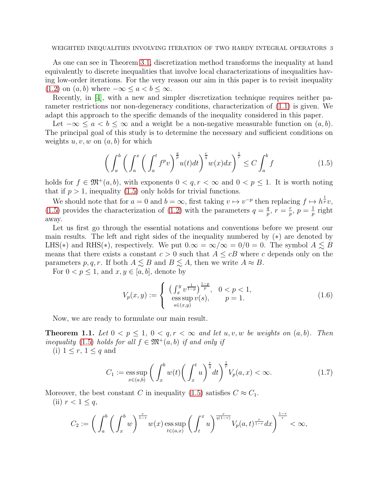WEIGHTED INEQUALITIES INVOLVING ITERATION OF TWO HARDY INTEGRAL OPERATORS 3

As one can see in Theorem [3.1,](#page-7-0) discretization method transforms the inequality at hand equivalently to discrete inequalities that involve local characterizations of inequalities having low-order iterations. For the very reason our aim in this paper is to revisit inequality [\(1.2\)](#page-0-1) on  $(a, b)$  where  $-\infty \le a < b \le \infty$ .

Recently, in [\[4\]](#page-22-3), with a new and simpler discretization technique requires neither parameter restrictions nor non-degeneracy conditions, characterization of [\(1.1\)](#page-0-0) is given. We adapt this approach to the specific demands of the inequality considered in this paper.

Let  $-\infty \le a < b \le \infty$  and a weight be a non-negative measurable function on  $(a, b)$ . The principal goal of this study is to determine the necessary and sufficient conditions on weights  $u, v, w$  on  $(a, b)$  for which

<span id="page-2-1"></span>
$$
\left(\int_{a}^{b} \left(\int_{a}^{x} \left(\int_{a}^{t} f^{p}v\right)^{\frac{q}{p}} u(t)dt\right)^{\frac{r}{q}} w(x)dx\right)^{\frac{1}{r}} \le C \int_{a}^{b} f \tag{1.5}
$$

holds for  $f \in \mathfrak{M}^+(a, b)$ , with exponents  $0 < q, r < \infty$  and  $0 < p \leq 1$ . It is worth noting that if  $p > 1$ , inequality [\(1.5\)](#page-2-1) only holds for trivial functions.

We should note that for  $a = 0$  and  $b = \infty$ , first taking  $v \mapsto v^{-p}$  then replacing  $f \mapsto h^{\frac{1}{p}}v$ , [\(1.5\)](#page-2-1) provides the characterization of [\(1.2\)](#page-0-1) with the parameters  $q = \frac{q}{r}$  $\frac{q}{p}, r = \frac{r}{p}$  $\frac{r}{p}, p = \frac{1}{p}$  $\frac{1}{p}$  right away.

Let us first go through the essential notations and conventions before we present our main results. The left and right sides of the inequality numbered by (∗) are denoted by LHS(\*) and RHS(\*), respectively. We put  $0.\infty = \infty/\infty = 0/0 = 0$ . The symbol  $A \leq B$ means that there exists a constant  $c > 0$  such that  $A \leq cB$  where c depends only on the parameters p, q, r. If both  $A \lesssim B$  and  $B \lesssim A$ , then we write  $A \approx B$ .

For  $0 < p \leq 1$ , and  $x, y \in [a, b]$ , denote by

<span id="page-2-3"></span>
$$
V_p(x,y) := \begin{cases} \left(\int_x^y v^{\frac{1}{1-p}}\right)^{\frac{1-p}{p}}, & 0 < p < 1, \\ \text{ess}\sup_{s \in (x,y)} v(s), & p = 1. \end{cases}
$$
 (1.6)

Now, we are ready to formulate our main result.

<span id="page-2-0"></span>**Theorem 1.1.** Let  $0 < p \leq 1$ ,  $0 < q, r < \infty$  and let  $u, v, w$  be weights on  $(a, b)$ . Then inequality [\(1.5\)](#page-2-1) holds for all  $f \in \mathfrak{M}^+(a, b)$  if and only if

(i)  $1 \leq r, 1 \leq q$  and

<span id="page-2-2"></span>
$$
C_1 := \underset{x \in (a,b)}{\mathrm{ess\,sup}} \left( \int_x^b w(t) \left( \int_x^t u \right)^{\frac{r}{q}} dt \right)^{\frac{1}{r}} V_p(a, x) < \infty. \tag{1.7}
$$

Moreover, the best constant C in inequality [\(1.5\)](#page-2-1) satisfies  $C \approx C_1$ .

(ii)  $r < 1 \leq q$ ,

$$
C_2:=\bigg(\int_a^b\bigg(\int_x^b w\bigg)^{\frac{r}{1-r}} w(x)\mathop{\mathrm{ess\,sup}}_{t\in(a,x)}\bigg(\int_t^x u\bigg)^{\frac{r}{q(1-r)}} V_p(a,t)^{\frac{r}{1-r}}dx\bigg)^{\frac{1-r}{r}}<\infty,
$$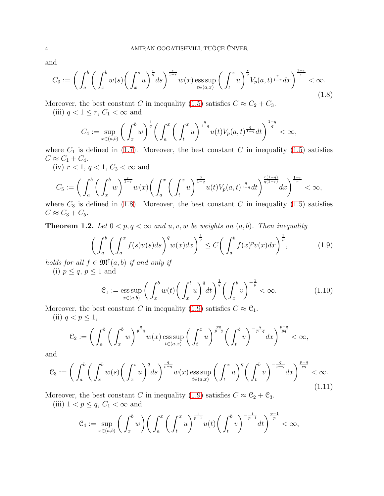and

<span id="page-3-1"></span>
$$
C_3 := \left(\int_a^b \left(\int_x^b w(s) \left(\int_x^s u\right)^{\frac{r}{q}} ds\right)^{\frac{r}{1-r}} w(x) \operatorname{ess} \sup_{t \in (a,x)} \left(\int_t^x u\right)^{\frac{r}{q}} V_p(a,t)^{\frac{r}{1-r}} dx\right)^{\frac{1-r}{r}} < \infty. \tag{1.8}
$$

Moreover, the best constant C in inequality [\(1.5\)](#page-2-1) satisfies  $C \approx C_2 + C_3$ .

(iii)  $q < 1 \leq r$ ,  $C_1 < \infty$  and

$$
C_4 := \sup_{x \in (a,b)} \left( \int_x^b w \right)^{\frac{1}{q}} \left( \int_a^x \left( \int_t^x u \right)^{\frac{q}{1-q}} u(t) V_p(a,t)^{\frac{q}{1-q}} dt \right)^{\frac{1-q}{q}} < \infty,
$$

where  $C_1$  is defined in [\(1.7\)](#page-2-2). Moreover, the best constant C in inequality [\(1.5\)](#page-2-1) satisfies  $C \approx C_1 + C_4.$ 

(iv)  $r < 1, q < 1, C_3 < \infty$  and

$$
C_5 := \left(\int_a^b \left(\int_x^b w\right)^{\frac{r}{1-r}} w(x) \left(\int_a^x \left(\int_t^x u\right)^{\frac{q}{1-q}} u(t) V_p(a,t)^{\frac{q}{1-q}} dt\right)^{\frac{r(1-q)}{q(1-r)}} dx\right)^{\frac{1-r}{r}} < \infty,
$$

where  $C_3$  is defined in [\(1.8\)](#page-3-1). Moreover, the best constant C in inequality [\(1.5\)](#page-2-1) satisfies  $C \approx C_3 + C_5.$ 

<span id="page-3-0"></span>**Theorem 1.2.** Let  $0 < p, q < \infty$  and  $u, v, w$  be weights on  $(a, b)$ . Then inequality

<span id="page-3-2"></span>
$$
\left(\int_{a}^{b} \left(\int_{a}^{x} f(s)u(s)ds\right)^{q} w(x)dx\right)^{\frac{1}{q}} \le C\left(\int_{a}^{b} f(x)^{p}v(x)dx\right)^{\frac{1}{p}},\tag{1.9}
$$

holds for all  $f \in \mathfrak{M}^{\uparrow}(a, b)$  if and only if

(i)  $p \leq q, p \leq 1$  and

<span id="page-3-3"></span>
$$
\mathcal{C}_1 := \underset{x \in (a,b)}{\mathrm{ess\,sup}} \left( \int_x^b w(t) \left( \int_x^t u \right)^q dt \right)^{\frac{1}{q}} \left( \int_x^b v \right)^{-\frac{1}{p}} < \infty. \tag{1.10}
$$

Moreover, the best constant C in inequality [\(1.9\)](#page-3-2) satisfies  $C \approx \mathcal{C}_1$ .

(ii)  $q < p \leq 1$ ,

$$
\mathcal{C}_2 := \bigg( \int_a^b \bigg( \int_x^b w \bigg)^{\frac{q}{p-q}} w(x) \operatorname{ess} \sup_{t \in (a,x)} \bigg( \int_t^x u \bigg)^{\frac{pq}{p-q}} \bigg( \int_t^b v \bigg)^{-\frac{q}{p-q}} dx \bigg)^{\frac{p-q}{pq}} < \infty,
$$

and

<span id="page-3-4"></span>
$$
\mathcal{C}_3 := \bigg( \int_a^b \bigg( \int_x^b w(s) \bigg( \int_x^s u \bigg)^q ds \bigg)^{\frac{q}{p-q}} w(x) \operatorname{ess} \sup_{t \in (a,x)} \bigg( \int_t^x u \bigg)^q \bigg( \int_t^b v \bigg)^{-\frac{q}{p-q}} dx \bigg)^{\frac{p-q}{pq}} < \infty. \tag{1.11}
$$

Moreover, the best constant C in inequality [\(1.9\)](#page-3-2) satisfies  $C \approx C_2 + C_3$ .

(iii)  $1 < p \leq q$ ,  $C_1 < \infty$  and

$$
\mathcal{C}_4:=\sup_{x\in(a,b)}\bigg(\int_x^b w\bigg)\bigg(\int_a^x \bigg(\int_t^x u\bigg)^{\frac{1}{p-1}}u(t)\bigg(\int_t^b v\bigg)^{-\frac{1}{p-1}}dt\bigg)^{\frac{p-1}{p}}<\infty,
$$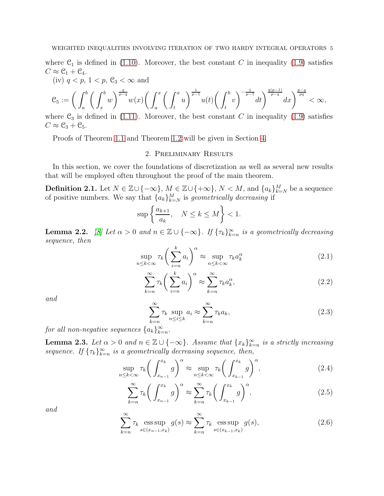where  $C_1$  is defined in [\(1.10\)](#page-3-3). Moreover, the best constant C in inequality [\(1.9\)](#page-3-2) satisfies  $C \approx \mathcal{C}_1 + \mathcal{C}_4.$ 

(iv)  $q < p$ ,  $1 < p$ ,  $\mathcal{C}_3 < \infty$  and

$$
\mathcal{C}_5:=\bigg(\int_a^b\bigg(\int_x^b w\bigg)^{\frac{q}{p-q}} w(x)\bigg(\int_a^x\bigg(\int_t^x u\bigg)^{\frac{1}{p-1}} u(t)\bigg(\int_t^b v\bigg)^{-\frac{1}{p-1}} dt\bigg)^{\frac{q(p-1)}{p-q}} dx\bigg)^{\frac{p-q}{pq}}<\infty,
$$

where  $\mathcal{C}_3$  is defined in [\(1.11\)](#page-3-4). Moreover, the best constant C in inequality [\(1.9\)](#page-3-2) satisfies  $C \approx \mathcal{C}_3 + \mathcal{C}_5.$ 

Proofs of Theorem [1.1](#page-2-0) and Theorem [1.2](#page-3-0) will be given in Section [4.](#page-10-0)

## 2. Preliminary Results

In this section, we cover the foundations of discretization as well as several new results that will be employed often throughout the proof of the main theorem.

**Definition 2.1.** Let  $N \in \mathbb{Z} \cup \{-\infty\}$ ,  $M \in \mathbb{Z} \cup \{+\infty\}$ ,  $N < M$ , and  $\{a_k\}_{k=N}^M$  be a sequence of positive numbers. We say that  ${a_k}_{k=N}^M$  is geometrically decreasing if

$$
\sup \left\{ \frac{a_{k+1}}{a_k}, \quad N \le k \le M \right\} < 1.
$$

**Lemma 2.2.** [\[8\]](#page-22-8) Let  $\alpha > 0$  and  $n \in \mathbb{Z} \cup \{-\infty\}$ . If  $\{\tau_k\}_{k=n}^{\infty}$  is a geometrically decreasing sequence, then

<span id="page-4-2"></span>
$$
\sup_{n \le k < \infty} \tau_k \bigg( \sum_{i=n}^k a_i \bigg)^\alpha \approx \sup_{n \le k < \infty} \tau_k a_k^\alpha \tag{2.1}
$$

<span id="page-4-3"></span>
$$
\sum_{k=n}^{\infty} \tau_k \bigg(\sum_{i=n}^{k} a_i\bigg)^{\alpha} \approx \sum_{k=n}^{\infty} \tau_k a_k^{\alpha},\tag{2.2}
$$

and

<span id="page-4-4"></span>
$$
\sum_{k=n}^{\infty} \tau_k \sup_{n \le i \le k} a_i \approx \sum_{k=n}^{\infty} \tau_k a_k,
$$
\n(2.3)

for all non-negative sequences  $\{a_k\}_{k=n}^{\infty}$ .

**Lemma 2.3.** Let  $\alpha > 0$  and  $n \in \mathbb{Z} \cup \{-\infty\}$ . Assume that  $\{x_k\}_{k=n}^{\infty}$  is a strictly increasing sequence. If  ${\{\tau_k\}}_{k=n}^{\infty}$  is a geometrically decreasing sequence, then,

<span id="page-4-0"></span>
$$
\sup_{n \le k < \infty} \tau_k \bigg( \int_{x_{n-1}}^{x_k} g \bigg)^{\alpha} \approx \sup_{n \le k < \infty} \tau_k \bigg( \int_{x_{k-1}}^{x_k} g \bigg)^{\alpha},\tag{2.4}
$$

<span id="page-4-1"></span>
$$
\sum_{k=n}^{\infty} \tau_k \bigg( \int_{x_{n-1}}^{x_k} g \bigg)^{\alpha} \approx \sum_{k=n}^{\infty} \tau_k \bigg( \int_{x_{k-1}}^{x_k} g \bigg)^{\alpha},\tag{2.5}
$$

and

<span id="page-4-5"></span>
$$
\sum_{k=n}^{\infty} \tau_k \operatorname*{ess\,sup}_{s \in (x_{n-1}, x_k)} g(s) \approx \sum_{k=n}^{\infty} \tau_k \operatorname*{ess\,sup}_{s \in (x_{k-1}, x_k)} g(s), \tag{2.6}
$$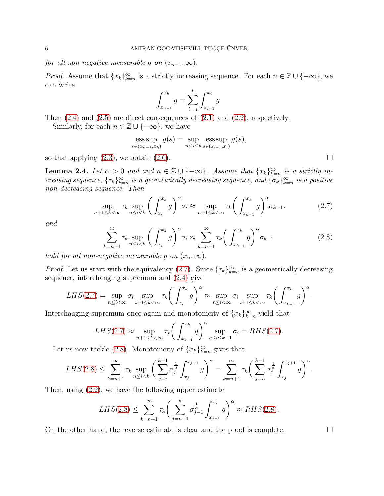for all non-negative measurable g on  $(x_{n-1}, \infty)$ .

*Proof.* Assume that  ${x_k}_{k=n}^{\infty}$  is a strictly increasing sequence. For each  $n \in \mathbb{Z} \cup \{-\infty\}$ , we can write

$$
\int_{x_{n-1}}^{x_k} g = \sum_{i=n}^k \int_{x_{i-1}}^{x_i} g.
$$

Then  $(2.4)$  and  $(2.5)$  are direct consequences of  $(2.1)$  and  $(2.2)$ , respectively.

Similarly, for each  $n \in \mathbb{Z} \cup \{-\infty\}$ , we have

$$
\operatorname{ess} \sup_{s \in (x_{n-1}, x_k)} g(s) = \sup_{n \le i \le k} \operatorname{ess} \sup_{s \in (x_{i-1}, x_i)} g(s),
$$

so that applying  $(2.3)$ , we obtain  $(2.6)$ .

**Lemma 2.4.** Let  $\alpha > 0$  and and  $n \in \mathbb{Z} \cup \{-\infty\}$ . Assume that  $\{x_k\}_{k=n}^{\infty}$  is a strictly increasing sequence,  $\{\tau_k\}_{k=n}^{\infty}$  is a geometrically decreasing sequence, and  $\{\sigma_k\}_{k=n}^{\infty}$  is a positive non-decreasing sequence. Then

<span id="page-5-0"></span>
$$
\sup_{n+1\leq k<\infty} \tau_k \sup_{n\leq i
$$

and

<span id="page-5-1"></span>
$$
\sum_{k=n+1}^{\infty} \tau_k \sup_{n \le i < k} \left( \int_{x_i}^{x_k} g \right)^{\alpha} \sigma_i \approx \sum_{k=n+1}^{\infty} \tau_k \left( \int_{x_{k-1}}^{x_k} g \right)^{\alpha} \sigma_{k-1}.
$$
\n(2.8)

hold for all non-negative measurable g on  $(x_n, \infty)$ .

*Proof.* Let us start with the equivalency [\(2.7\)](#page-5-0). Since  $\{\tau_k\}_{k=n}^{\infty}$  is a geometrically decreasing sequence, interchanging supremum and [\(2.4\)](#page-4-0) give

$$
LHS(2.7) = \sup_{n \leq i < \infty} \sigma_i \sup_{i+1 \leq k < \infty} \tau_k \bigg( \int_{x_i}^{x_k} g \bigg)^{\alpha} \approx \sup_{n \leq i < \infty} \sigma_i \sup_{i+1 \leq k < \infty} \tau_k \bigg( \int_{x_{k-1}}^{x_k} g \bigg)^{\alpha}.
$$

Interchanging supremum once again and monotonicity of  $\{\sigma_k\}_{k=n}^{\infty}$  yield that

$$
LHS(2.7) \approx \sup_{n+1 \le k < \infty} \tau_k \bigg( \int_{x_{k-1}}^{x_k} g \bigg)^{\alpha} \sup_{n \le i \le k-1} \sigma_i = RHS(2.7).
$$

Let us now tackle [\(2.8\)](#page-5-1). Monotonicity of  $\{\sigma_k\}_{k=n}^{\infty}$  gives that

$$
LHS(2.8) \leq \sum_{k=n+1}^{\infty} \tau_k \sup_{n \leq i < k} \left( \sum_{j=i}^{k-1} \sigma_j^{\frac{1}{\alpha}} \int_{x_j}^{x_{j+1}} g \right)^{\alpha} = \sum_{k=n+1}^{\infty} \tau_k \left( \sum_{j=n}^{k-1} \sigma_j^{\frac{1}{\alpha}} \int_{x_j}^{x_{j+1}} g \right)^{\alpha}.
$$

Then, using [\(2.2\)](#page-4-3), we have the following upper estimate

$$
LHS(2.8) \le \sum_{k=n+1}^{\infty} \tau_k \bigg( \sum_{j=n+1}^{k} \sigma_{j-1}^{\frac{1}{\alpha}} \int_{x_{j-1}}^{x_j} g \bigg)^{\alpha} \approx RHS(2.8).
$$

On the other hand, the reverse estimate is clear and the proof is complete.  $\Box$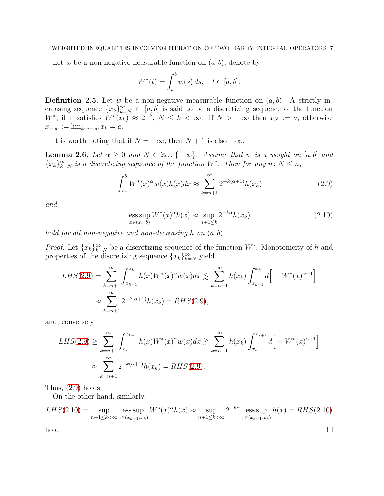Let w be a non-negative neasurable function on  $(a, b)$ , denote by

$$
W^*(t) = \int_t^b w(s) \, ds, \quad t \in [a, b].
$$

**Definition 2.5.** Let w be a non-negative measurable function on  $(a, b)$ . A strictly increasing sequence  $\{x_k\}_{k=N}^{\infty} \subset [a, b]$  is said to be a discretizing sequence of the function W<sup>\*</sup>, if it satisfies  $W^*(x_k) \approx 2^{-k}$ ,  $N \leq k < \infty$ . If  $N > -\infty$  then  $x_N := a$ , otherwise  $x_{-\infty} := \lim_{k \to -\infty} x_k = a.$ 

It is worth noting that if  $N = -\infty$ , then  $N + 1$  is also  $-\infty$ .

**Lemma 2.6.** Let  $\alpha \geq 0$  and  $N \in \mathbb{Z} \cup \{-\infty\}$ . Assume that w is a weight on [a, b] and  ${x_k}_{k=N}^{\infty}$  is a discretizing sequence of the function  $W^*$ . Then for any  $n: N \leq n$ ,

<span id="page-6-0"></span>
$$
\int_{x_n}^{b} W^*(x)^{\alpha} w(x) h(x) dx \approx \sum_{k=n+1}^{\infty} 2^{-k(\alpha+1)} h(x_k)
$$
 (2.9)

and

<span id="page-6-1"></span>
$$
\underset{x \in (x_n, b)}{\text{ess sup}} W^*(x)^\alpha h(x) \approx \underset{n+1 \le k}{\text{sup}} 2^{-k\alpha} h(x_k) \tag{2.10}
$$

hold for all non-negative and non-decreasing h on  $(a, b)$ .

*Proof.* Let  $\{x_k\}_{k=N}^{\infty}$  be a discretizing sequence of the function  $W^*$ . Monotonicity of h and properties of the discretizing sequence  ${x_k}_{k=N}^{\infty}$  yield

$$
LHS(2.9) = \sum_{k=n+1}^{\infty} \int_{x_{k-1}}^{x_k} h(x)W^*(x)^{\alpha}w(x)dx \lesssim \sum_{k=n+1}^{\infty} h(x_k) \int_{x_{k-1}}^{x_k} d\left[-W^*(x)^{\alpha+1}\right]
$$
  

$$
\approx \sum_{k=n+1}^{\infty} 2^{-k(\alpha+1)}h(x_k) = RHS(2.9),
$$

and, conversely

$$
LHS(2.9) \geq \sum_{k=n+1}^{\infty} \int_{x_k}^{x_{k+1}} h(x)W^*(x)^{\alpha}w(x)dx \gtrsim \sum_{k=n+1}^{\infty} h(x_k) \int_{x_k}^{x_{k+1}} d\Big[-W^*(x)^{\alpha+1}\Big]
$$
  

$$
\approx \sum_{k=n+1}^{\infty} 2^{-k(\alpha+1)}h(x_k) = RHS(2.9).
$$

Thus,  $(2.9)$  holds.

On the other hand, similarly,

$$
LHS(2.10) = \sup_{n+1 \le k < \infty} \operatorname*{ess\,sup}_{x \in (x_{k-1}, x_k)} W^*(x)^{\alpha} h(x) \approx \sup_{n+1 \le k < \infty} 2^{-k\alpha} \operatorname*{ess\,sup}_{x \in (x_{k-1}, x_k)} h(x) = RHS(2.10)
$$

 $\Box$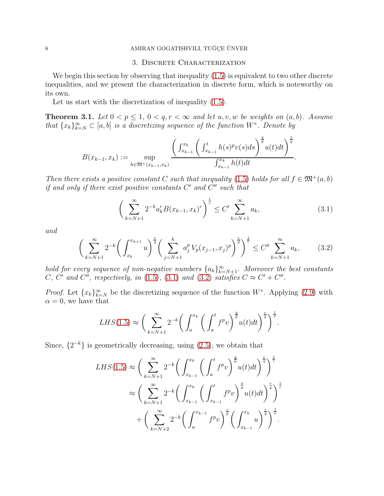### 8 AMIRAN GOGATISHVILI, TUĞÇE ÜNVER

#### 3. Discrete Characterization

We begin this section by observing that inequality  $(1.5)$  is equivalent to two other discrete inequalities, and we present the characterization in discrete form, which is noteworthy on its own.

Let us start with the discretization of inequality  $(1.5)$ .

<span id="page-7-0"></span>**Theorem 3.1.** Let  $0 < p \leq 1$ ,  $0 < q, r < \infty$  and let  $u, v, w$  be weights on  $(a, b)$ . Assume that  ${x_k}_{k=N}^{\infty} \subset [a, b]$  is a discretizing sequence of the function  $W^*$ . Denote by

$$
B(x_{k-1}, x_k) := \sup_{h \in \mathfrak{M}^+(x_{k-1}, x_k)} \frac{\left(\int_{x_{k-1}}^{x_k} \left(\int_{x_{k-1}}^t h(s)^p v(s) ds\right)^{\frac{q}{p}} u(t) dt\right)^{\frac{1}{q}}}{\int_{x_{k-1}}^{x_k} h(t) dt}.
$$

Then there exists a positive constant C such that inequality [\(1.5\)](#page-2-1) holds for all  $f \in \mathfrak{M}^+(a, b)$ if and only if there exist positive constants  $C'$  and  $C''$  such that

<span id="page-7-1"></span>
$$
\left(\sum_{k=N+1}^{\infty} 2^{-k} a_k^r B(x_{k-1}, x_k)^r \right)^{\frac{1}{r}} \le C' \sum_{k=N+1}^{\infty} a_k,
$$
\n(3.1)

and

<span id="page-7-2"></span>
$$
\left(\sum_{k=N+1}^{\infty} 2^{-k} \left(\int_{x_k}^{x_{k+1}} u\right)^{\frac{r}{q}} \left(\sum_{j=N+1}^{k} a_j^p V_p(x_{j-1}, x_j)^p\right)^{\frac{r}{p}}\right)^{\frac{1}{r}} \le C'' \sum_{k=N+1}^{\infty} a_k, \tag{3.2}
$$

hold for every sequence of non-negative numbers  $\{a_k\}_{k=N+1}^{\infty}$ . Moreover the best constants C, C' and C'', respectively, in [\(1.5\)](#page-2-1), [\(3.1\)](#page-7-1) and [\(3.2\)](#page-7-2) satisfies  $C \approx C' + C''$ .

*Proof.* Let  $\{x_k\}_{k=N}^{\infty}$  be the discretizing sequence of the function W<sup>\*</sup>. Applying [\(2.9\)](#page-6-0) with  $\alpha = 0$ , we have that

$$
LHS(1.5) \approx \left(\sum_{k=N+1}^{\infty} 2^{-k} \left(\int_{a}^{x_k} \left(\int_{a}^{t} f^p v\right)^{\frac{q}{p}} u(t) dt\right)^{\frac{r}{q}}\right)^{\frac{1}{r}}.
$$

Since,  $\{2^{-k}\}\$ is geometrically decreasing, using  $(2.5)$ , we obtain that

$$
LHS(1.5) \approx \left(\sum_{k=N+1}^{\infty} 2^{-k} \left(\int_{x_{k-1}}^{x_k} \left(\int_a^t f^p v\right)^{\frac{q}{p}} u(t) dt\right)^{\frac{r}{q}}\right)^{\frac{1}{r}}
$$
  

$$
\approx \left(\sum_{k=N+1}^{\infty} 2^{-k} \left(\int_{x_{k-1}}^{x_k} \left(\int_{x_{k-1}}^t f^p v\right)^{\frac{q}{p}} u(t) dt\right)^{\frac{r}{q}}\right)^{\frac{1}{r}}
$$
  
+ 
$$
\left(\sum_{k=N+2}^{\infty} 2^{-k} \left(\int_a^{x_{k-1}} f^p v\right)^{\frac{r}{p}} \left(\int_{x_{k-1}}^{x_k} u\right)^{\frac{r}{q}}\right)^{\frac{1}{r}}.
$$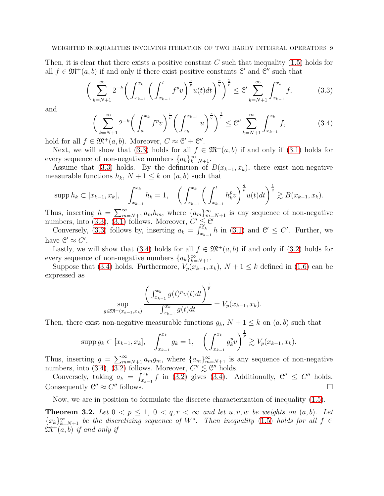Then, it is clear that there exists a positive constant  $C$  such that inequality  $(1.5)$  holds for all  $f \in \mathfrak{M}^+(a, b)$  if and only if there exist positive constants  $\mathfrak{C}'$  and  $\mathfrak{C}''$  such that

<span id="page-8-0"></span>
$$
\left(\sum_{k=N+1}^{\infty} 2^{-k} \left(\int_{x_{k-1}}^{x_k} \left(\int_{x_{k-1}}^t f^p v\right)^{\frac{q}{p}} u(t) dt\right)^{\frac{r}{q}}\right)^{\frac{1}{r}} \leq C' \sum_{k=N+1}^{\infty} \int_{x_{k-1}}^{x_k} f,
$$
(3.3)

and

<span id="page-8-1"></span>
$$
\left(\sum_{k=N+1}^{\infty} 2^{-k} \left(\int_{a}^{x_{k}} f^{p} v\right)^{\frac{r}{p}} \left(\int_{x_{k}}^{x_{k+1}} u\right)^{\frac{r}{q}}\right)^{\frac{1}{r}} \leq \mathcal{C}'' \sum_{k=N+1}^{\infty} \int_{x_{k-1}}^{x_{k}} f, \tag{3.4}
$$

hold for all  $f \in \mathfrak{M}^+(a, b)$ . Moreover,  $C \approx \mathfrak{C}' + \mathfrak{C}''$ .

Next, we will show that [\(3.3\)](#page-8-0) holds for all  $f \in \mathfrak{M}^+(a, b)$  if and only if [\(3.1\)](#page-7-1) holds for every sequence of non-negative numbers  $\{a_k\}_{k=N+1}^{\infty}$ .

Assume that [\(3.3\)](#page-8-0) holds. By the definition of  $B(x_{k-1}, x_k)$ , there exist non-negative measurable functions  $h_k$ ,  $N + 1 \leq k$  on  $(a, b)$  such that

$$
\text{supp } h_k \subset [x_{k-1}, x_k], \quad \int_{x_{k-1}}^{x_k} h_k = 1, \quad \left( \int_{x_{k-1}}^{x_k} \left( \int_{x_{k-1}}^t h_k^p v \right)^{\frac{q}{p}} u(t) dt \right)^{\frac{1}{q}} \gtrsim B(x_{k-1}, x_k).
$$

Thus, inserting  $h = \sum_{m=N+1}^{\infty} a_m h_m$ , where  $\{a_m\}_{m=N+1}^{\infty}$  is any sequence of non-negative numbers, into [\(3.3\)](#page-8-0), [\(3.1\)](#page-7-1) follows. Moreover,  $C' \leq C'$ 

Conversely,  $(3.3)$  follows by, inserting  $a_k = \int_{x_{k-1}}^{x_k} h$  in  $(3.1)$  and  $\mathcal{C}' \leq C'$ . Further, we have  $\mathcal{C}' \approx C'$ .

Lastly, we will show that [\(3.4\)](#page-8-1) holds for all  $f \in \mathfrak{M}^+(a, b)$  if and only if [\(3.2\)](#page-7-2) holds for every sequence of non-negative numbers  $\{a_k\}_{k=N+1}^{\infty}$ .

Suppose that [\(3.4\)](#page-8-1) holds. Furthermore,  $V_p(x_{k-1}, x_k)$ ,  $N + 1 \leq k$  defined in [\(1.6\)](#page-2-3) can be expressed as

$$
\sup_{g \in \mathfrak{M}^+(x_{k-1}, x_k)} \frac{\left(\int_{x_{k-1}}^{x_k} g(t)^p v(t) dt\right)^{\frac{1}{p}}}{\int_{x_{k-1}}^{x_k} g(t) dt} = V_p(x_{k-1}, x_k).
$$

Then, there exist non-negative measurable functions  $g_k$ ,  $N+1 \leq k$  on  $(a, b)$  such that

$$
\text{supp } g_k \subset [x_{k-1}, x_k], \quad \int_{x_{k-1}}^{x_k} g_k = 1, \quad \left( \int_{x_{k-1}}^{x_k} g_k^p v \right)^{\frac{1}{p}} \gtrsim V_p(x_{k-1}, x_k).
$$

Thus, inserting  $g = \sum_{m=N+1}^{\infty} a_m g_m$ , where  $\{a_m\}_{m=N+1}^{\infty}$  is any sequence of non-negative numbers, into  $(3.4)$ ,  $(3.2)$  follows. Moreover,  $C'' \lesssim C''$  holds.

Conversely, taking  $a_k = \int_{x_{k-1}}^{x_k} f$  in [\(3.2\)](#page-7-2) gives [\(3.4\)](#page-8-1). Additionally,  $\mathcal{C}'' \leq C''$  holds. Consequently  $\mathcal{C}'' \approx C''$  follows.

Now, we are in position to formulate the discrete characterization of inequality [\(1.5\)](#page-2-1).

<span id="page-8-2"></span>**Theorem 3.2.** Let  $0 < p \leq 1$ ,  $0 < q, r < \infty$  and let  $u, v, w$  be weights on  $(a, b)$ . Let  ${x_k}_{k=N+1}^{\infty}$  be the discretizing sequence of W<sup>\*</sup>. Then inequality [\(1.5\)](#page-2-1) holds for all  $f \in$  $\mathfrak{M}^+(a, b)$  if and only if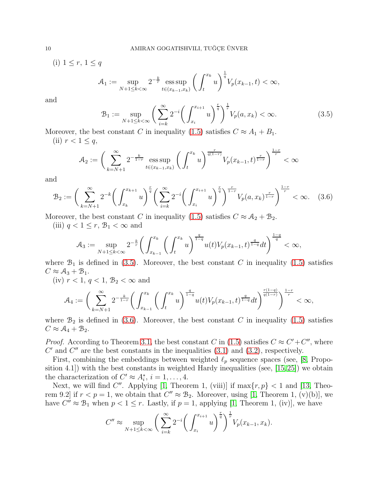(i)  $1 \leq r, 1 \leq q$ 

$$
\mathcal{A}_1 := \sup_{N+1 \le k < \infty} 2^{-\frac{k}{r}} \operatorname{ess} \sup_{t \in (x_{k-1}, x_k)} \left( \int_t^{x_k} u \right)^{\frac{1}{q}} V_p(x_{k-1}, t) < \infty,
$$

and

<span id="page-9-0"></span>
$$
\mathcal{B}_1 := \sup_{N+1 \le k < \infty} \left( \sum_{i=k}^{\infty} 2^{-i} \left( \int_{x_i}^{x_{i+1}} u \right)^{\frac{r}{q}} \right)^{\frac{1}{r}} V_p(a, x_k) < \infty. \tag{3.5}
$$

Moreover, the best constant C in inequality [\(1.5\)](#page-2-1) satisfies  $C \approx A_1 + B_1$ . (ii)  $r < 1 \leq q$ ,

$$
\mathcal{A}_2 := \bigg( \sum_{k=N+1}^{\infty} 2^{-\frac{k}{1-r}} \operatorname{ess} \sup_{t \in (x_{k-1}, x_k)} \bigg( \int_t^{x_k} u \bigg)^{\frac{r}{q(1-r)}} V_p(x_{k-1}, t)^{\frac{r}{1-r}} \bigg)^{\frac{1-r}{r}} < \infty
$$

and

<span id="page-9-1"></span>
$$
\mathcal{B}_2 := \left(\sum_{k=N+1}^{\infty} 2^{-k} \left(\int_{x_k}^{x_{k+1}} u\right)^{\frac{r}{q}} \left(\sum_{i=k}^{\infty} 2^{-i} \left(\int_{x_i}^{x_{i+1}} u\right)^{\frac{r}{q}}\right)^{\frac{r}{1-r}} V_p(a, x_k)^{\frac{r}{1-r}}\right)^{\frac{1-r}{r}} < \infty. \quad (3.6)
$$

Moreover, the best constant C in inequality [\(1.5\)](#page-2-1) satisfies  $C \approx A_2 + B_2$ .

(iii)  $q < 1 \leq r$ ,  $\mathcal{B}_1 < \infty$  and

$$
\mathcal{A}_3 := \sup_{N+1 \le k < \infty} 2^{-\frac{k}{r}} \bigg( \int_{x_{k-1}}^{x_k} \bigg( \int_t^{x_k} u \bigg)^{\frac{q}{1-q}} u(t) V_p(x_{k-1}, t)^{\frac{q}{1-q}} dt \bigg)^{\frac{1-q}{q}} < \infty,
$$

where  $\mathcal{B}_1$  is defined in [\(3.5\)](#page-9-0). Moreover, the best constant C in inequality [\(1.5\)](#page-2-1) satisfies  $C \approx A_3 + B_1$ .

(iv)  $r < 1, q < 1, \mathcal{B}_2 < \infty$  and

$$
\mathcal{A}_4:=\bigg(\sum_{k=N+1}^{\infty}2^{-\frac{k}{1-r}}\bigg(\int_{x_{k-1}}^{x_k}\bigg(\int_{t}^{x_k}u\bigg)^{\frac{q}{1-q}}u(t)V_p(x_{k-1},t)^{\frac{q}{1-q}}dt\bigg)^{\frac{r(1-q)}{q(1-r)}}\bigg)^{\frac{1-r}{r}}<\infty,
$$

where  $\mathcal{B}_2$  is defined in [\(3.6\)](#page-9-1). Moreover, the best constant C in inequality [\(1.5\)](#page-2-1) satisfies  $C \approx A_4 + B_2.$ 

*Proof.* According to Theorem [3.1,](#page-7-0) the best constant C in [\(1.5\)](#page-2-1) satisfies  $C \approx C' + C''$ , where  $C'$  and  $C''$  are the best constants in the inequalities  $(3.1)$  and  $(3.2)$ , respectively.

First, combining the embeddings between weighted  $\ell_p$  sequence spaces (see, [\[8,](#page-22-8) Proposition 4.1]) with the best constants in weighted Hardy inequalities (see, [\[15,](#page-23-14)[25\]](#page-23-15)) we obtain the characterization of  $C' \approx A_i^*, i = 1, \ldots, 4$ .

Next, we will find C''. Applying [\[1,](#page-22-9) Theorem 1, (viii)] if  $\max\{r, p\} < 1$  and [\[13,](#page-23-16) Theorem 9.2] if  $r < p = 1$ , we obtain that  $C'' \approx B_2$ . Moreover, using [\[1,](#page-22-9) Theorem 1, (v)(b)], we have  $C'' \approx \mathcal{B}_1$  when  $p < 1 \leq r$ . Lastly, if  $p = 1$ , applying [\[1,](#page-22-9) Theorem 1, (iv)], we have

$$
C'' \approx \sup_{N+1 \le k < \infty} \left( \sum_{i=k}^{\infty} 2^{-i} \left( \int_{x_i}^{x_{i+1}} u \right)^{\frac{r}{q}} \right)^{\frac{1}{r}} V_p(x_{k-1}, x_k).
$$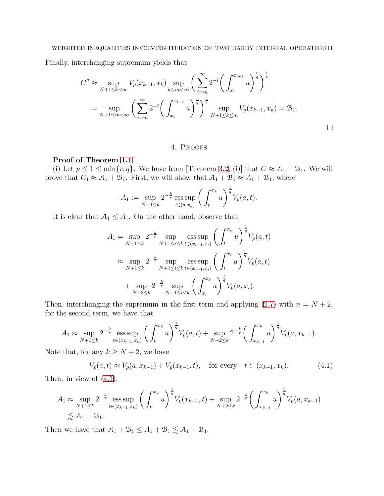Finally, interchanging supremum yields that

$$
C'' \approx \sup_{N+1 \le k < \infty} V_p(x_{k-1}, x_k) \sup_{k \le m < \infty} \left( \sum_{i=m}^{\infty} 2^{-i} \left( \int_{x_i}^{x_{i+1}} u \right)^{\frac{r}{q}} \right)^{\frac{1}{r}}
$$
  
= 
$$
\sup_{N+1 \le m < \infty} \left( \sum_{i=m}^{\infty} 2^{-i} \left( \int_{x_i}^{x_{i+1}} u \right)^{\frac{r}{q}} \right)^{\frac{1}{r}} \sup_{N+1 \le k \le m} V_p(x_{k-1}, x_k) = \mathcal{B}_1.
$$

#### 4. Proofs

# <span id="page-10-0"></span>Proof of Theorem [1.1](#page-2-0)

(i) Let  $p \leq 1 \leq \min\{r, q\}$ . We have from [Theorem [3.2,](#page-8-2) (i)] that  $C \approx A_1 + B_1$ . We will prove that  $C_1 \approx A_1 + B_1$ . First, we will show that  $A_1 + B_1 \approx A_1 + B_1$ , where

$$
A_1 := \sup_{N+1 \le k} 2^{-\frac{k}{r}} \operatorname{ess} \sup_{t \in (a, x_k)} \left( \int_t^{x_k} u \right)^{\frac{1}{q}} V_p(a, t).
$$

It is clear that  $A_1 \leq A_1$ . On the other hand, observe that

$$
A_1 = \sup_{N+1 \le k} 2^{-\frac{k}{r}} \sup_{N+1 \le i \le k} \operatorname{ess} \sup_{t \in (x_{i-1}, x_i)} \left( \int_t^{x_k} u \right)^{\frac{1}{q}} V_p(a, t)
$$
  

$$
\approx \sup_{N+1 \le k} 2^{-\frac{k}{r}} \sup_{N+1 \le i \le k} \operatorname{ess} \sup_{t \in (x_{i-1}, x_i)} \left( \int_t^{x_i} u \right)^{\frac{1}{q}} V_p(a, t)
$$
  
+ 
$$
\sup_{N+2 \le k} 2^{-\frac{k}{r}} \sup_{N+1 \le i \le k} \left( \int_{x_i}^{x_k} u \right)^{\frac{1}{q}} V_p(a, x_i).
$$

Then, interchanging the supremum in the first term and applying  $(2.7)$  with  $n = N + 2$ , for the second term, we have that

$$
A_1 \approx \sup_{N+1 \leq k} 2^{-\frac{k}{r}} \operatorname{ess} \sup_{t \in (x_{k-1}, x_k)} \left( \int_t^{x_k} u \right)^{\frac{1}{q}} V_p(a, t) + \sup_{N+2 \leq k} 2^{-\frac{k}{r}} \left( \int_{x_{k-1}}^{x_k} u \right)^{\frac{1}{q}} V_p(a, x_{k-1}).
$$

Note that, for any  $k \geq N+2$ , we have

<span id="page-10-1"></span>
$$
V_p(a,t) \approx V_p(a, x_{k-1}) + V_p(x_{k-1}, t), \quad \text{for every} \quad t \in (x_{k-1}, x_k). \tag{4.1}
$$

Then, in view of [\(4.1\)](#page-10-1),

$$
A_1 \approx \sup_{N+1 \le k} 2^{-\frac{k}{r}} \operatorname{ess} \sup_{t \in (x_{k-1}, x_k)} \left( \int_t^{x_k} u \right)^{\frac{1}{q}} V_p(x_{k-1}, t) + \sup_{N+2 \le k} 2^{-\frac{k}{r}} \left( \int_{x_{k-1}}^{x_k} u \right)^{\frac{1}{q}} V_p(a, x_{k-1})
$$
  
  $\lesssim A_1 + B_1.$ 

Then we have that  $A_1 + B_1 \leq A_1 + B_1 \lesssim A_1 + B_1$ .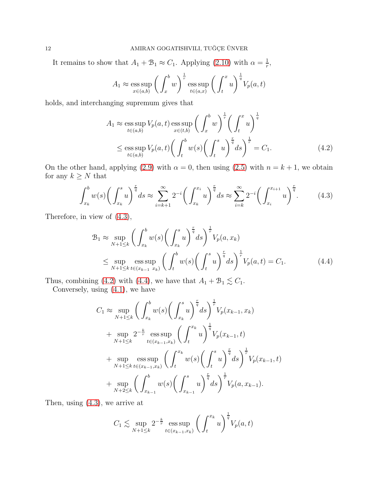It remains to show that  $A_1 + B_1 \approx C_1$ . Applying [\(2.10\)](#page-6-1) with  $\alpha = \frac{1}{r}$  $\frac{1}{r},$ 

$$
A_1 \approx \operatorname*{ess\,sup}_{x \in (a,b)} \left( \int_x^b w \right)^{\frac{1}{r}} \operatorname*{ess\,sup}_{t \in (a,x)} \left( \int_t^x u \right)^{\frac{1}{q}} V_p(a,t)
$$

holds, and interchanging supremum gives that

<span id="page-11-1"></span><span id="page-11-0"></span>
$$
A_1 \approx \operatorname*{ess\,sup}_{t \in (a,b)} V_p(a,t) \operatorname*{ess\,sup}_{x \in (t,b)} \left( \int_x^b w \right)^{\frac{1}{r}} \left( \int_t^x u \right)^{\frac{1}{q}}
$$
  

$$
\leq \operatorname*{ess\,sup}_{t \in (a,b)} V_p(a,t) \left( \int_t^b w(s) \left( \int_t^s u \right)^{\frac{r}{q}} ds \right)^{\frac{1}{r}} = C_1.
$$
 (4.2)

On the other hand, applying [\(2.9\)](#page-6-0) with  $\alpha = 0$ , then using [\(2.5\)](#page-4-1) with  $n = k + 1$ , we obtain for any  $k\geq N$  that

$$
\int_{x_k}^b w(s) \bigg( \int_{x_k}^s u \bigg)^{\frac{r}{q}} ds \approx \sum_{i=k+1}^\infty 2^{-i} \bigg( \int_{x_k}^{x_i} u \bigg)^{\frac{r}{q}} ds \approx \sum_{i=k}^\infty 2^{-i} \bigg( \int_{x_i}^{x_{i+1}} u \bigg)^{\frac{r}{q}}.
$$
 (4.3)

Therefore, in view of [\(4.3\)](#page-11-0),

$$
\mathcal{B}_{1} \approx \sup_{N+1 \leq k} \left( \int_{x_{k}}^{b} w(s) \left( \int_{x_{k}}^{s} u \right)^{\frac{r}{q}} ds \right)^{\frac{1}{r}} V_{p}(a, x_{k})
$$
\n
$$
\leq \sup_{N+1 \leq k} \operatorname{ess} \sup_{t \in (x_{k-1}, x_{k})} \left( \int_{t}^{b} w(s) \left( \int_{t}^{s} u \right)^{\frac{r}{q}} ds \right)^{\frac{1}{r}} V_{p}(a, t) = C_{1}.
$$
\n(4.4)

Thus, combining [\(4.2\)](#page-11-1) with [\(4.4\)](#page-11-2), we have that  $A_1 + B_1 \lesssim C_1$ .

Conversely, using [\(4.1\)](#page-10-1), we have

<span id="page-11-2"></span>
$$
C_1 \approx \sup_{N+1 \leq k} \left( \int_{x_k}^b w(s) \left( \int_{x_k}^s u \right)^{\frac{r}{q}} ds \right)^{\frac{1}{r}} V_p(x_{k-1}, x_k)
$$
  
+ 
$$
\sup_{N+1 \leq k} 2^{-\frac{k}{r}} \operatorname{ess} \sup_{t \in (x_{k-1}, x_k)} \left( \int_t^{x_k} u \right)^{\frac{1}{q}} V_p(x_{k-1}, t)
$$
  
+ 
$$
\sup_{N+1 \leq k} \operatorname{ess} \sup_{t \in (x_{k-1}, x_k)} \left( \int_t^{x_k} w(s) \left( \int_t^s u \right)^{\frac{r}{q}} ds \right)^{\frac{1}{r}} V_p(x_{k-1}, t)
$$
  
+ 
$$
\sup_{N+2 \leq k} \left( \int_{x_{k-1}}^b w(s) \left( \int_{x_{k-1}}^s u \right)^{\frac{r}{q}} ds \right)^{\frac{1}{r}} V_p(a, x_{k-1}).
$$

Then, using [\(4.3\)](#page-11-0), we arrive at

$$
C_1 \lesssim \sup_{N+1 \leq k} 2^{-\frac{k}{r}} \operatorname{ess} \sup_{t \in (x_{k-1}, x_k)} \left( \int_t^{x_k} u \right)^{\frac{1}{q}} V_p(a, t)
$$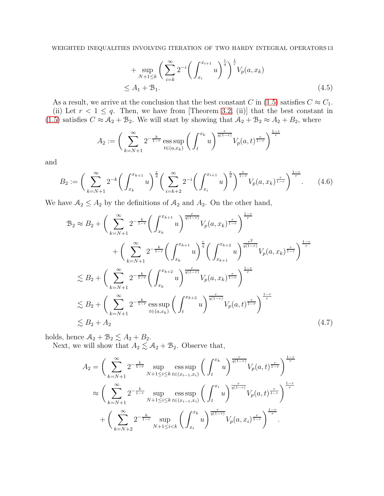<span id="page-12-1"></span>+ 
$$
\sup_{N+1 \le k} \left( \sum_{i=k}^{\infty} 2^{-i} \left( \int_{x_i}^{x_{i+1}} u \right)^{\frac{r}{q}} \right)^{\frac{1}{r}} V_p(a, x_k)
$$
  
\n $\le A_1 + B_1.$  (4.5)

As a result, we arrive at the conclusion that the best constant C in [\(1.5\)](#page-2-1) satisfies  $C \approx C_1$ .

(ii) Let  $r < 1 \leq q$ . Then, we have from [Theorem [3.2,](#page-8-2) (ii)] that the best constant in [\(1.5\)](#page-2-1) satisfies  $C \approx A_2 + B_2$ . We will start by showing that  $A_2 + B_2 \approx A_2 + B_2$ , where

$$
A_2 := \bigg( \sum_{k=N+1}^{\infty} 2^{-\frac{k}{1-r}} \operatorname{ess} \sup_{t \in (a,x_k)} \bigg( \int_t^{x_k} u \bigg)^{\frac{r}{q(1-r)}} V_p(a,t)^{\frac{r}{1-r}} \bigg)^{\frac{1-r}{r}}
$$

and

<span id="page-12-2"></span>
$$
B_2 := \left(\sum_{k=N+1}^{\infty} 2^{-k} \left(\int_{x_k}^{x_{k+1}} u\right)^{\frac{r}{q}} \left(\sum_{i=k+2}^{\infty} 2^{-i} \left(\int_{x_i}^{x_{i+1}} u\right)^{\frac{r}{q}}\right)^{\frac{r}{1-r}} V_p(a, x_k)^{\frac{r}{1-r}}\right)^{\frac{1-r}{r}}.
$$
 (4.6)

We have  $A_2 \leq A_2$  by the definitions of  $A_2$  and  $A_2$ . On the other hand,

$$
\mathcal{B}_{2} \approx B_{2} + \left(\sum_{k=N+1}^{\infty} 2^{-\frac{k}{1-r}} \left(\int_{x_{k}}^{x_{k+1}} u\right)^{\frac{r}{q(1-r)}} V_{p}(a, x_{k})^{\frac{r}{1-r}}\right)^{\frac{1-r}{r}} + \left(\sum_{k=N+1}^{\infty} 2^{-\frac{k}{1-r}} \left(\int_{x_{k}}^{x_{k+1}} u\right)^{\frac{r}{q}} \left(\int_{x_{k+1}}^{x_{k+2}} u\right)^{\frac{r^{2}}{q(1-r)}} V_{p}(a, x_{k})^{\frac{r}{1-r}}\right)^{\frac{1-r}{r}}
$$
  
\n
$$
\lesssim B_{2} + \left(\sum_{k=N+1}^{\infty} 2^{-\frac{k}{1-r}} \left(\int_{x_{k}}^{x_{k+2}} u\right)^{\frac{r}{q(1-r)}} V_{p}(a, x_{k})^{\frac{r}{1-r}}\right)^{\frac{1-r}{r}}
$$
  
\n
$$
\lesssim B_{2} + \left(\sum_{k=N+1}^{\infty} 2^{-\frac{k}{1-r}} \operatorname{ess} \sup_{t \in (a, x_{k})} \left(\int_{t}^{x_{k+2}} u\right)^{\frac{r}{q(1-r)}} V_{p}(a, t)^{\frac{r}{1-r}}\right)^{\frac{1-r}{r}}
$$
  
\n
$$
\lesssim B_{2} + A_{2} \tag{4.7}
$$

holds, hence  $A_2 + B_2 \lesssim A_2 + B_2$ .

Next, we will show that  $A_2 \lesssim A_2 + B_2$ . Observe that,

<span id="page-12-0"></span>
$$
A_2 = \left(\sum_{k=N+1}^{\infty} 2^{-\frac{k}{1-r}} \sup_{N+1 \le i \le k} \operatorname{ess} \sup_{t \in (x_{i-1}, x_i)} \left( \int_t^{x_k} u \right)^{\frac{r}{q(1-r)}} V_p(a, t)^{\frac{r}{1-r}} \right)^{\frac{1-r}{r}}
$$
  

$$
\approx \left(\sum_{k=N+1}^{\infty} 2^{-\frac{k}{1-r}} \sup_{N+1 \le i \le k} \operatorname{ess} \sup_{t \in (x_{i-1}, x_i)} \left( \int_t^{x_i} u \right)^{\frac{r}{q(1-r)}} V_p(a, t)^{\frac{r}{1-r}} \right)^{\frac{1-r}{r}}
$$
  
+ 
$$
\left(\sum_{k=N+2}^{\infty} 2^{-\frac{k}{1-r}} \sup_{N+1 \le i \le k} \left( \int_{x_i}^{x_k} u \right)^{\frac{r}{q(1-r)}} V_p(a, x_i)^{\frac{r}{1-r}} \right)^{\frac{1-r}{r}}.
$$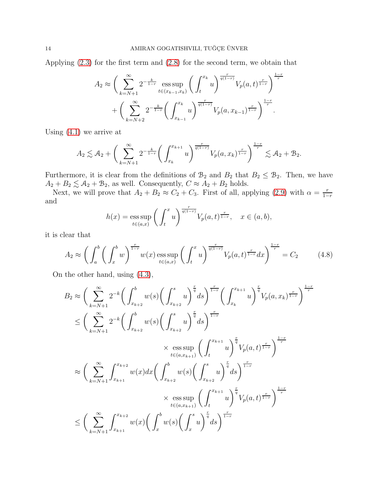Applying [\(2.3\)](#page-4-4) for the first term and [\(2.8\)](#page-5-1) for the second term, we obtain that

$$
A_2 \approx \left(\sum_{k=N+1}^{\infty} 2^{-\frac{k}{1-r}} \operatorname{ess} \sup_{t \in (x_{k-1}, x_k)} \left( \int_t^{x_k} u \right)^{\frac{r}{q(1-r)}} V_p(a, t)^{\frac{r}{1-r}} \right)^{\frac{1-r}{r}}
$$

$$
+ \left(\sum_{k=N+2}^{\infty} 2^{-\frac{k}{1-r}} \left( \int_{x_{k-1}}^{x_k} u \right)^{\frac{r}{q(1-r)}} V_p(a, x_{k-1})^{\frac{r}{1-r}} \right)^{\frac{1-r}{r}}.
$$

Using  $(4.1)$  we arrive at

$$
A_2 \lesssim A_2 + \bigg(\sum_{k=N+1}^{\infty} 2^{-\frac{k}{1-r}} \bigg(\int_{x_k}^{x_{k+1}} u\bigg)^{\frac{r}{q(1-r)}} V_p(a, x_k)^{\frac{r}{1-r}} \bigg)^{\frac{1-r}{r}} \lesssim A_2 + B_2.
$$

Furthermore, it is clear from the definitions of  $\mathcal{B}_2$  and  $B_2$  that  $B_2 \leq \mathcal{B}_2$ . Then, we have  $A_2 + B_2 \lesssim A_2 + B_2$ , as well. Consequently,  $C \approx A_2 + B_2$  holds.

Next, we will prove that  $A_2 + B_2 \approx C_2 + C_3$ . First of all, applying [\(2.9\)](#page-6-0) with  $\alpha = \frac{r}{1-r}$  $1-r$ and

$$
h(x) = \operatorname{ess} \operatorname{sup}_{t \in (a,x)} \left( \int_t^x u \right)^{\frac{r}{q(1-r)}} V_p(a,t)^{\frac{r}{1-r}}, \quad x \in (a,b),
$$

it is clear that

<span id="page-13-0"></span>
$$
A_2 \approx \left(\int_a^b \left(\int_x^b w\right)^{\frac{r}{1-r}} w(x) \operatorname{ess} \sup_{t \in (a,x)} \left(\int_t^x u\right)^{\frac{r}{q(1-r)}} V_p(a,t)^{\frac{r}{1-r}} dx\right)^{\frac{1-r}{r}} = C_2 \tag{4.8}
$$

On the other hand, using [\(4.3\)](#page-11-0),

$$
B_{2} \approx \left(\sum_{k=N+1}^{\infty} 2^{-k} \left(\int_{x_{k+2}}^{b} w(s) \left(\int_{x_{k+2}}^{s} u\right)^{\frac{r}{q}} ds\right)^{\frac{r}{1-r}} \left(\int_{x_{k}}^{x_{k+1}} u\right)^{\frac{r}{q}} V_{p}(a, x_{k})^{\frac{r}{1-r}}\right)^{\frac{1-r}{r}}
$$
  
\n
$$
\leq \left(\sum_{k=N+1}^{\infty} 2^{-k} \left(\int_{x_{k+2}}^{b} w(s) \left(\int_{x_{k+2}}^{s} u\right)^{\frac{r}{q}} ds\right)^{\frac{r}{1-r}}
$$
  
\n
$$
\times \operatorname*{ess} \sup_{t \in (a, x_{k+1})} \left(\int_{t}^{x_{k+1}} u\right)^{\frac{r}{q}} V_{p}(a, t)^{\frac{r}{1-r}}\right)^{\frac{1-r}{r}}
$$
  
\n
$$
\approx \left(\sum_{k=N+1}^{\infty} \int_{x_{k+1}}^{x_{k+2}} w(x) dx \left(\int_{x_{k+2}}^{b} w(s) \left(\int_{x_{k+2}}^{s} u\right)^{\frac{r}{q}} ds\right)^{\frac{r}{1-r}}
$$
  
\n
$$
\times \operatorname*{ess} \sup_{t \in (a, x_{k+1})} \left(\int_{t}^{x_{k+1}} u\right)^{\frac{r}{q}} V_{p}(a, t)^{\frac{r}{1-r}}\right)^{\frac{1-r}{r}}
$$
  
\n
$$
\leq \left(\sum_{k=N+1}^{\infty} \int_{x_{k+1}}^{x_{k+2}} w(x) \left(\int_{x}^{b} w(s) \left(\int_{x}^{s} u\right)^{\frac{r}{q}} ds\right)^{\frac{r}{1-r}}
$$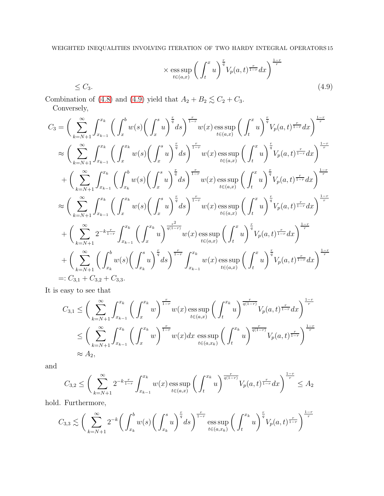<span id="page-14-0"></span>
$$
\times \underset{t \in (a,x)}{\text{ess sup}} \left( \int_t^x u \right)^{\frac{r}{q}} V_p(a,t)^{\frac{r}{1-r}} dx \right)^{\frac{1-r}{r}} \tag{4.9}
$$

Combination of [\(4.8\)](#page-13-0) and [\(4.9\)](#page-14-0) yield that  $A_2 + B_2 \lesssim C_2 + C_3$ . Conversely,

$$
C_{3} = \left(\sum_{k=N+1}^{\infty} \int_{x_{k-1}}^{x_{k}} \left(\int_{x}^{b} w(s) \left(\int_{x}^{s} u\right)^{\frac{r}{q}} ds\right)^{\frac{r}{1-r}} w(x) \operatorname{ess} \sup_{t \in (a,x)} \left(\int_{t}^{x} u\right)^{\frac{r}{q}} V_{p}(a,t)^{\frac{r}{1-r}} dx\right)^{\frac{1-r}{r}}
$$
  
\n
$$
\approx \left(\sum_{k=N+1}^{\infty} \int_{x_{k-1}}^{x_{k}} \left(\int_{x}^{x_{k}} w(s) \left(\int_{x}^{s} u\right)^{\frac{r}{q}} ds\right)^{\frac{r}{1-r}} w(x) \operatorname{ess} \sup_{t \in (a,x)} \left(\int_{t}^{x} u\right)^{\frac{r}{q}} V_{p}(a,t)^{\frac{r}{1-r}} dx\right)^{\frac{1-r}{r}}
$$
  
\n
$$
+ \left(\sum_{k=N+1}^{\infty} \int_{x_{k-1}}^{x_{k}} \left(\int_{x}^{b} w(s) \left(\int_{x}^{s} u\right)^{\frac{r}{q}} ds\right)^{\frac{r}{1-r}} w(x) \operatorname{ess} \sup_{t \in (a,x)} \left(\int_{t}^{x} u\right)^{\frac{r}{q}} V_{p}(a,t)^{\frac{r}{1-r}} dx\right)^{\frac{1-r}{r}}
$$
  
\n
$$
\approx \left(\sum_{k=N+1}^{\infty} \int_{x_{k-1}}^{x_{k}} \left(\int_{x}^{x} w(s) \left(\int_{x}^{s} u\right)^{\frac{r}{q}} ds\right)^{\frac{r}{1-r}} w(x) \operatorname{ess} \sup_{t \in (a,x)} \left(\int_{t}^{x} u\right)^{\frac{r}{q}} V_{p}(a,t)^{\frac{r}{1-r}} dx\right)^{\frac{1-r}{r}}
$$
  
\n
$$
+ \left(\sum_{k=N+1}^{\infty} 2^{-k\frac{r}{1-r}} \int_{x_{k-1}}^{x_{k}} \left(\int_{x}^{x} u\right)^{\frac{r^{2}}{q(1-r)}} w(x) \operatorname{ess} \sup_{t \in (a,x)} \left(\int_{t}^{x} u\right)^{\frac{r}{q}} V_{p}(a,t)^{\frac{r}{1-r}} dx\right)^{\frac{1-r}{r}}
$$

It is easy to see that

$$
C_{3,1} \leq \left(\sum_{k=N+1}^{\infty} \int_{x_{k-1}}^{x_k} \left(\int_x^{x_k} w\right)^{\frac{r}{1-r}} w(x) \operatorname{ess} \sup_{t \in (a,x)} \left(\int_t^{x_k} u\right)^{\frac{r}{q(1-r)}} V_p(a,t)^{\frac{r}{1-r}} dx\right)^{\frac{1-r}{r}}
$$
  

$$
\leq \left(\sum_{k=N+1}^{\infty} \int_{x_{k-1}}^{x_k} \left(\int_x^{x_k} w\right)^{\frac{r}{1-r}} w(x) dx \operatorname{ess} \sup_{t \in (a,x_k)} \left(\int_t^{x_k} u\right)^{\frac{r}{q(1-r)}} V_p(a,t)^{\frac{r}{1-r}}\right)^{\frac{1-r}{r}}
$$
  

$$
\approx A_2,
$$

and

$$
C_{3,2} \le \bigg( \sum_{k=N+1}^{\infty} 2^{-k\frac{r}{1-r}} \int_{x_{k-1}}^{x_k} w(x) \mathop{\mathrm{ess\,sup}}_{t \in (a,x)} \bigg( \int_t^{x_k} u \bigg)^{\frac{r}{q(1-r)}} V_p(a,t)^{\frac{r}{1-r}} dx \bigg)^{\frac{1-r}{r}} \le A_2
$$

hold. Furthermore,

$$
C_{3,3} \lesssim \bigg(\sum_{k=N+1}^{\infty} 2^{-k} \bigg(\int_{x_k}^{b} w(s) \bigg(\int_{x_k}^{s} u\bigg)^{\frac{r}{q}} ds\bigg)^{\frac{r}{1-r}} \underset{t \in (a,x_k)}{\mathrm{ess} \sup} \bigg(\int_{t}^{x_k} u\bigg)^{\frac{r}{q}} V_p(a,t)^{\frac{r}{1-r}} \bigg)^{\frac{1-r}{r}}
$$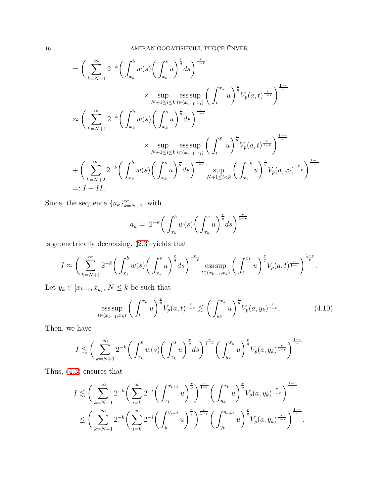$$
= \left(\sum_{k=N+1}^{\infty} 2^{-k} \left(\int_{x_k}^{b} w(s) \left(\int_{x_k}^{s} u\right)^{\frac{r}{q}} ds\right)^{\frac{r}{1-r}} \times \sup_{N+1 \leq i \leq k} \operatorname{ess} \sup_{t \in (x_{i-1}, x_i)} \left(\int_{t}^{x_k} u\right)^{\frac{r}{q}} V_p(a, t)^{\frac{r}{1-r}}\right)^{\frac{1-r}{r}}
$$
  

$$
\approx \left(\sum_{k=N+1}^{\infty} 2^{-k} \left(\int_{x_k}^{b} w(s) \left(\int_{x_k}^{s} u\right)^{\frac{r}{q}} ds\right)^{\frac{r}{1-r}}
$$
  

$$
\times \sup_{N+1 \leq i \leq k} \operatorname{ess} \sup_{t \in (x_{i-1}, x_i)} \left(\int_{t}^{x_i} u\right)^{\frac{r}{q}} V_p(a, t)^{\frac{r}{1-r}}\right)^{\frac{1-r}{r}}
$$
  
+
$$
\left(\sum_{k=N+2}^{\infty} 2^{-k} \left(\int_{x_k}^{b} w(s) \left(\int_{x_k}^{s} u\right)^{\frac{r}{q}} ds\right)^{\frac{r}{1-r}} \sup_{N+1 \leq i < k} \left(\int_{x_i}^{x_k} u\right)^{\frac{r}{q}} V_p(a, x_i)^{\frac{r}{1-r}}\right)^{\frac{1-r}{r}}
$$
  
=: I + II.

Since, the sequence  ${a_k}_{k=N+1}^{\infty}$ , with

$$
a_k =: 2^{-k} \bigg( \int_{x_k}^b w(s) \bigg( \int_{x_k}^s u \bigg)^{\frac{r}{q}} ds \bigg)^{\frac{r}{1-r}}
$$

is geometrically decreasing, [\(2.3\)](#page-4-4) yields that

$$
I \approx \bigg(\sum_{k=N+1}^{\infty} 2^{-k} \bigg(\int_{x_k}^{b} w(s) \bigg(\int_{x_k}^{s} u\bigg)^{\frac{r}{q}} ds\bigg)^{\frac{r}{1-r}} \operatorname{ess} \sup_{t \in (x_{k-1}, x_k)} \bigg(\int_{t}^{x_k} u\bigg)^{\frac{r}{q}} V_p(a, t)^{\frac{r}{1-r}} \bigg)^{\frac{1-r}{r}}.
$$

Let  $y_k \in [x_{k-1}, x_k],\, N \leq k$  be such that

$$
\underset{t \in (x_{k-1}, x_k)}{\text{ess sup}} \left( \int_t^{x_k} u \right)^{\frac{r}{q}} V_p(a, t)^{\frac{r}{1-r}} \lesssim \left( \int_{y_k}^{x_k} u \right)^{\frac{r}{q}} V_p(a, y_k)^{\frac{r}{1-r}}.
$$
 (4.10)

Then, we have

$$
I \lesssim \bigg(\sum_{k=N+1}^{\infty} 2^{-k} \bigg(\int_{x_k}^{b} w(s) \bigg(\int_{x_k}^{s} u\bigg)^{\frac{r}{q}} ds\bigg)^{\frac{r}{1-r}} \bigg(\int_{y_k}^{x_k} u\bigg)^{\frac{r}{q}} V_p(a, y_k)^{\frac{r}{1-r}} \bigg)^{\frac{1-r}{r}}
$$

Thus, [\(4.3\)](#page-11-0) ensures that

$$
I \lesssim \bigg(\sum_{k=N+1}^{\infty} 2^{-k} \bigg(\sum_{i=k}^{\infty} 2^{-i} \bigg(\int_{x_i}^{x_{i+1}} u\bigg)^{\frac{r}{q}}\bigg)^{\frac{r}{1-r}} \bigg(\int_{y_k}^{x_k} u\bigg)^{\frac{r}{q}} V_p(a, y_k)^{\frac{r}{1-r}}\bigg)^{\frac{1-r}{r}} \leq \bigg(\sum_{k=N+1}^{\infty} 2^{-k} \bigg(\sum_{i=k}^{\infty} 2^{-i} \bigg(\int_{y_i}^{y_{i+2}} u\bigg)^{\frac{r}{q}}\bigg)^{\frac{r}{1-r}} \bigg(\int_{y_k}^{y_{k+1}} u\bigg)^{\frac{r}{q}} V_p(a, y_k)^{\frac{r}{1-r}}\bigg)^{\frac{1-r}{r}}.
$$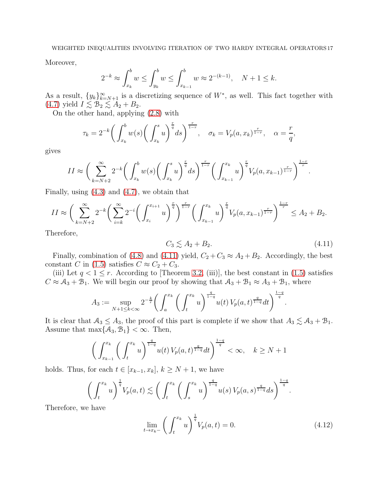Moreover,

$$
2^{-k} \approx \int_{x_k}^b w \le \int_{y_k}^b w \le \int_{x_{k-1}}^b w \approx 2^{-(k-1)}, \quad N+1 \le k.
$$

As a result,  $\{y_k\}_{k=N+1}^{\infty}$  is a discretizing sequence of  $W^*$ , as well. This fact together with [\(4.7\)](#page-12-0) yield  $I \lesssim \mathcal{B}_2 \lesssim A_2 + B_2$ .

On the other hand, applying [\(2.8\)](#page-5-1) with

$$
\tau_k = 2^{-k} \bigg( \int_{x_k}^b w(s) \bigg( \int_{x_k}^s u \bigg)^{\frac{r}{q}} ds \bigg)^{\frac{r}{1-r}}, \quad \sigma_k = V_p(a, x_k)^{\frac{r}{1-r}}, \quad \alpha = \frac{r}{q},
$$

gives

$$
II \approx \bigg(\sum_{k=N+2}^{\infty} 2^{-k} \bigg(\int_{x_k}^{b} w(s) \bigg(\int_{x_k}^{s} u\bigg)^{\frac{r}{q}} ds\bigg)^{\frac{r}{1-r}} \bigg(\int_{x_{k-1}}^{x_k} u\bigg)^{\frac{r}{q}} V_p(a, x_{k-1})^{\frac{r}{1-r}}\bigg)^{\frac{1-r}{r}}.
$$

Finally, using  $(4.3)$  and  $(4.7)$ , we obtain that

$$
II \approx \bigg(\sum_{k=N+2}^{\infty} 2^{-k} \bigg(\sum_{i=k}^{\infty} 2^{-i} \bigg(\int_{x_i}^{x_{i+1}} u\bigg)^{\frac{r}{q}}\bigg)^{\frac{r}{1-r}} \bigg(\int_{x_{k-1}}^{x_k} u\bigg)^{\frac{r}{q}} V_p(a, x_{k-1})^{\frac{r}{1-r}}\bigg)^{\frac{1-r}{r}} \leq A_2 + B_2.
$$

Therefore,

<span id="page-16-0"></span>
$$
C_3 \lesssim A_2 + B_2. \tag{4.11}
$$

Finally, combination of [\(4.8\)](#page-13-0) and [\(4.11\)](#page-16-0) yield,  $C_2 + C_3 \approx A_2 + B_2$ . Accordingly, the best constant C in [\(1.5\)](#page-2-1) satisfies  $C \approx C_2 + C_3$ .

(iii) Let  $q < 1 \leq r$ . According to [Theorem [3.2,](#page-8-2) (iii)], the best constant in [\(1.5\)](#page-2-1) satisfies  $C \approx A_3 + B_1$ . We will begin our proof by showing that  $A_3 + B_1 \approx A_3 + B_1$ , where

$$
A_3 := \sup_{N+1 \le k < \infty} 2^{-\frac{k}{r}} \bigg( \int_a^{x_k} \bigg( \int_t^{x_k} u \bigg)^{\frac{q}{1-q}} u(t) \, V_p(a,t)^{\frac{q}{1-q}} dt \bigg)^{\frac{1-q}{q}}.
$$

It is clear that  $A_3 \leq A_3$ , the proof of this part is complete if we show that  $A_3 \lesssim A_3 + B_1$ . Assume that  $\max\{\mathcal{A}_3, \mathcal{B}_1\} < \infty$ . Then,

$$
\left(\int_{x_{k-1}}^{x_k} \left(\int_t^{x_k} u\right)^{\frac{q}{1-q}} u(t) \, V_p(a,t)^{\frac{q}{1-q}} dt\right)^{\frac{1-q}{q}} < \infty, \quad k \ge N+1
$$

holds. Thus, for each  $t \in [x_{k-1}, x_k]$ ,  $k \geq N+1$ , we have

$$
\left(\int_t^{x_k} u\right)^{\frac{1}{q}} V_p(a,t) \lesssim \left(\int_t^{x_k} \left(\int_s^{x_k} u\right)^{\frac{q}{1-q}} u(s) V_p(a,s)^{\frac{q}{1-q}} ds\right)^{\frac{1-q}{q}}.
$$

Therefore, we have

<span id="page-16-1"></span>
$$
\lim_{t \to x_k-} \left( \int_t^{x_k} u \right)^{\frac{1}{q}} V_p(a, t) = 0. \tag{4.12}
$$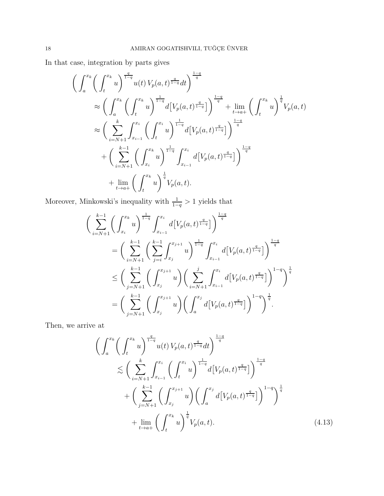In that case, integration by parts gives

$$
\left(\int_{a}^{x_{k}} \left(\int_{t}^{x_{k}} u\right)^{\frac{q}{1-q}} u(t) V_{p}(a, t)^{\frac{q}{1-q}} dt\right)^{\frac{1-q}{q}} \n\approx \left(\int_{a}^{x_{k}} \left(\int_{t}^{x_{k}} u\right)^{\frac{1}{1-q}} d\left[V_{p}(a, t)^{\frac{q}{1-q}}\right] \right)^{\frac{1-q}{q}} + \lim_{t \to a^{+}} \left(\int_{t}^{x_{k}} u\right)^{\frac{1}{q}} V_{p}(a, t) \n\approx \left(\sum_{i=N+1}^{k} \int_{x_{i-1}}^{x_{i}} \left(\int_{t}^{x_{i}} u\right)^{\frac{1}{1-q}} d\left[V_{p}(a, t)^{\frac{q}{1-q}}\right] \right)^{\frac{1-q}{q}} \n+ \left(\sum_{i=N+1}^{k-1} \left(\int_{x_{i}}^{x_{k}} u\right)^{\frac{1}{1-q}} \int_{x_{i-1}}^{x_{i}} d\left[V_{p}(a, t)^{\frac{q}{1-q}}\right] \right)^{\frac{1-q}{q}} \n+ \lim_{t \to a^{+}} \left(\int_{t}^{x_{k}} u\right)^{\frac{1}{q}} V_{p}(a, t).
$$

Moreover, Minkowski's inequality with  $\frac{1}{1-q} > 1$  yields that

$$
\left(\sum_{i=N+1}^{k-1} \left(\int_{x_i}^{x_k} u\right)^{\frac{1}{1-q}} \int_{x_{i-1}}^{x_i} d\left[V_p(a,t)^{\frac{q}{1-q}}\right] \right)^{\frac{1-q}{q}} \n= \left(\sum_{i=N+1}^{k-1} \left(\sum_{j=i}^{k-1} \int_{x_j}^{x_{j+1}} u\right)^{\frac{1}{1-q}} \int_{x_{i-1}}^{x_i} d\left[V_p(a,t)^{\frac{q}{1-q}}\right] \right)^{\frac{1-q}{q}} \n\le \left(\sum_{j=N+1}^{k-1} \left(\int_{x_j}^{x_{j+1}} u\right) \left(\sum_{i=N+1}^{j} \int_{x_{i-1}}^{x_i} d\left[V_p(a,t)^{\frac{q}{1-q}}\right] \right)^{1-q} \right)^{\frac{1}{q}} \n= \left(\sum_{j=N+1}^{k-1} \left(\int_{x_j}^{x_{j+1}} u\right) \left(\int_a^{x_j} d\left[V_p(a,t)^{\frac{q}{1-q}}\right] \right)^{1-q} \right)^{\frac{1}{q}}.
$$

Then, we arrive at

<span id="page-17-0"></span>
$$
\left(\int_{a}^{x_{k}}\left(\int_{t}^{x_{k}}u\right)^{\frac{q}{1-q}}u(t)V_{p}(a,t)^{\frac{q}{1-q}}dt\right)^{\frac{1-q}{q}}\n\lesssim \left(\sum_{i=N+1}^{k}\int_{x_{i-1}}^{x_{i}}\left(\int_{t}^{x_{i}}u\right)^{\frac{1}{1-q}}d\left[V_{p}(a,t)^{\frac{q}{1-q}}\right]\right)^{\frac{1-q}{q}}\n+ \left(\sum_{j=N+1}^{k-1}\left(\int_{x_{j}}^{x_{j+1}}u\right)\left(\int_{a}^{x_{j}}d\left[V_{p}(a,t)^{\frac{q}{1-q}}\right]\right)^{1-q}\right)^{\frac{1}{q}}\n+ \lim_{t\to a+}\left(\int_{t}^{x_{k}}u\right)^{\frac{1}{q}}V_{p}(a,t).
$$
\n(4.13)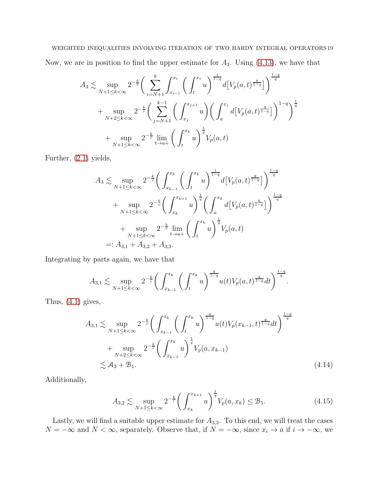## WEIGHTED INEQUALITIES INVOLVING ITERATION OF TWO HARDY INTEGRAL OPERATORS 19

Now, we are in position to find the upper estimate for  $A_3$ . Using  $(4.13)$ , we have that

$$
A_3 \lesssim \sup_{N+1 \le k < \infty} 2^{-\frac{k}{r}} \bigg( \sum_{i=N+1}^k \int_{x_{i-1}}^{x_i} \bigg( \int_t^{x_i} u \bigg)^{\frac{1}{1-q}} d\big[ V_p(a, t)^{\frac{q}{1-q}} \big] \bigg)^{\frac{1-q}{q}}
$$
  
+ 
$$
\sup_{N+2 \le k < \infty} 2^{-\frac{k}{r}} \bigg( \sum_{j=N+1}^{k-1} \bigg( \int_{x_j}^{x_{j+1}} u \bigg) \bigg( \int_a^{x_j} d\big[ V_p(a, t)^{\frac{q}{1-q}} \big] \bigg)^{1-q} \bigg)^{\frac{1}{q}}
$$
  
+ 
$$
\sup_{N+1 \le k < \infty} 2^{-\frac{k}{r}} \lim_{t \to a+} \bigg( \int_t^{x_k} u \bigg)^{\frac{1}{q}} V_p(a, t)
$$

Further, [\(2.1\)](#page-4-2) yields,

$$
A_3 \lesssim \sup_{N+1 \le k < \infty} 2^{-\frac{k}{r}} \bigg( \int_{x_{k-1}}^{x_k} \bigg( \int_t^{x_k} u \bigg)^{\frac{1}{1-q}} d\big[ V_p(a, t)^{\frac{q}{1-q}} \big] \bigg)^{\frac{1-q}{q}}
$$
\n
$$
+ \sup_{N+1 \le k < \infty} 2^{-\frac{k}{r}} \bigg( \int_{x_k}^{x_{k+1}} u \bigg)^{\frac{1}{q}} \bigg( \int_a^{x_k} d\big[ V_p(a, t)^{\frac{q}{1-q}} \big] \bigg)^{\frac{1-q}{q}}
$$
\n
$$
+ \sup_{N+1 \le k < \infty} 2^{-\frac{k}{r}} \lim_{t \to a+} \bigg( \int_t^{x_k} u \bigg)^{\frac{1}{q}} V_p(a, t)
$$
\n
$$
=: A_{3,1} + A_{3,2} + A_{3,3}.
$$

Integrating by parts again, we have that

$$
A_{3,1} \lesssim \sup_{N+1 \leq k < \infty} 2^{-\frac{k}{r}} \bigg( \int_{x_{k-1}}^{x_k} \bigg( \int_t^{x_k} u \bigg)^{\frac{q}{1-q}} u(t) V_p(a,t)^{\frac{q}{1-q}} dt \bigg)^{\frac{1-q}{q}}.
$$

Thus,  $(4.1)$  gives,

$$
A_{3,1} \lesssim \sup_{N+1 \le k < \infty} 2^{-\frac{k}{r}} \bigg( \int_{x_{k-1}}^{x_k} \bigg( \int_t^{x_k} u \bigg)^{\frac{q}{1-q}} u(t) V_p(x_{k-1}, t)^{\frac{q}{1-q}} dt \bigg)^{\frac{1-q}{q}}
$$
  
+ 
$$
\sup_{N+2 \le k < \infty} 2^{-\frac{k}{r}} \bigg( \int_{x_{k-1}}^{x_k} u \bigg)^{\frac{1}{q}} V_p(a, x_{k-1})
$$
  

$$
\lesssim A_3 + B_1.
$$
 (4.14)

Additionally,

<span id="page-18-1"></span><span id="page-18-0"></span>
$$
A_{3,2} \lesssim \sup_{N+1 \le k < \infty} 2^{-\frac{k}{r}} \bigg( \int_{x_k}^{x_{k+1}} u \bigg)^{\frac{1}{q}} V_p(a, x_k) \le \mathcal{B}_1. \tag{4.15}
$$

Lastly, we will find a suitable upper estimate for  $A_{3,3}$ . To this end, we will treat the cases  $N = -\infty$  and  $N < \infty$ , separately. Observe that, if  $N = -\infty$ , since  $x_i \to a$  if  $i \to -\infty$ , we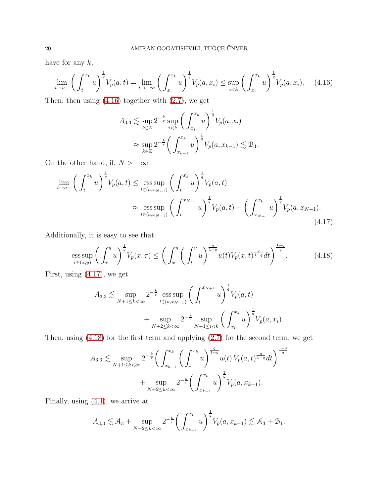have for any  $k$ ,

$$
\lim_{t \to a+} \left( \int_{t}^{x_{k}} u \right)^{\frac{1}{q}} V_{p}(a, t) = \lim_{i \to -\infty} \left( \int_{x_{i}}^{x_{k}} u \right)^{\frac{1}{q}} V_{p}(a, x_{i}) \le \sup_{i < k} \left( \int_{x_{i}}^{x_{k}} u \right)^{\frac{1}{q}} V_{p}(a, x_{i}). \tag{4.16}
$$

Then, then using  $(4.16)$  together with  $(2.7)$ , we get

<span id="page-19-1"></span><span id="page-19-0"></span>
$$
A_{3,3} \lesssim \sup_{k \in \mathbb{Z}} 2^{-\frac{k}{r}} \sup_{i < k} \left( \int_{x_i}^{x_k} u \right)^{\frac{1}{q}} V_p(a, x_i)
$$
  

$$
\approx \sup_{k \in \mathbb{Z}} 2^{-\frac{k}{r}} \left( \int_{x_{k-1}}^{x_k} u \right)^{\frac{1}{q}} V_p(a, x_{k-1}) \lesssim \mathcal{B}_1.
$$

On the other hand, if,  $N > -\infty$ 

$$
\lim_{t \to a+} \left( \int_{t}^{x_{k}} u \right)^{\frac{1}{q}} V_{p}(a,t) \leq \underset{t \in (a,x_{N+1})}{\text{ess sup}} \left( \int_{t}^{x_{k}} u \right)^{\frac{1}{q}} V_{p}(a,t) \n\approx \underset{t \in (a,x_{N+1})}{\text{ess sup}} \left( \int_{t}^{x_{N+1}} u \right)^{\frac{1}{q}} V_{p}(a,t) + \left( \int_{x_{N+1}}^{x_{k}} u \right)^{\frac{1}{q}} V_{p}(a,x_{N+1}).
$$
\n(4.17)

Additionally, it is easy to see that

$$
\underset{\tau \in (x,y)}{\text{ess sup}} \left( \int_{\tau}^{y} u \right)^{\frac{1}{q}} V_p(x,\tau) \le \left( \int_{x}^{y} \left( \int_{t}^{y} u \right)^{\frac{q}{1-q}} u(t) V_p(x,t)^{\frac{q}{1-q}} dt \right)^{\frac{1-q}{q}}.
$$
(4.18)

First, using [\(4.17\)](#page-19-1), we get

<span id="page-19-2"></span>
$$
A_{3,3} \lesssim \sup_{N+1 \le k < \infty} 2^{-\frac{k}{r}} \operatorname{ess} \sup_{t \in (a,x_{N+1})} \left( \int_t^{x_{N+1}} u \right)^{\frac{1}{q}} V_p(a,t) + \sup_{N+2 \le k < \infty} 2^{-\frac{k}{r}} \sup_{N+1 \le i < k} \left( \int_{x_i}^{x_k} u \right)^{\frac{1}{q}} V_p(a,x_i).
$$

Then, using [\(4.18\)](#page-19-2) for the first term and applying [\(2.7\)](#page-5-0) for the second term, we get

$$
A_{3,3} \lesssim \sup_{N+1 \le k < \infty} 2^{-\frac{k}{r}} \bigg( \int_{x_{k-1}}^{x_k} \bigg( \int_t^{x_k} u \bigg)^{\frac{q}{1-q}} u(t) \, V_p(a,t)^{\frac{q}{1-q}} dt \bigg)^{\frac{1-q}{q}}
$$
  
+ 
$$
\sup_{N+2 \le k < \infty} 2^{-\frac{k}{r}} \bigg( \int_{x_{k-1}}^{x_k} u \bigg)^{\frac{1}{q}} V_p(a, x_{k-1}).
$$

Finally, using [\(4.1\)](#page-10-1), we arrive at

$$
A_{3,3} \lesssim A_3 + \sup_{N+2 \le k < \infty} 2^{-\frac{k}{r}} \bigg( \int_{x_{k-1}}^{x_k} u \bigg)^{\frac{1}{q}} V_p(a, x_{k-1}) \lesssim A_3 + B_1.
$$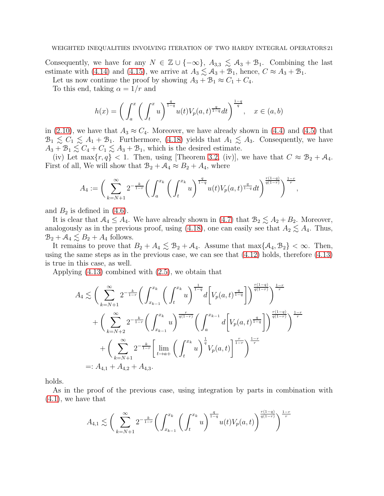Consequently, we have for any  $N \in \mathbb{Z} \cup \{-\infty\}$ ,  $A_{3,3} \leq A_3 + B_1$ . Combining the last estimate with [\(4.14\)](#page-18-0) and [\(4.15\)](#page-18-1), we arrive at  $A_3 \lesssim A_3 + B_1$ , hence,  $C \approx A_3 + B_1$ .

Let us now continue the proof by showing  $A_3 + B_1 \approx C_1 + C_4$ .

To this end, taking  $\alpha = 1/r$  and

$$
h(x) = \left(\int_a^x \left(\int_t^x u\right)^{\frac{q}{1-q}} u(t) V_p(a,t)^{\frac{q}{1-q}} dt\right)^{\frac{1-q}{q}}, \quad x \in (a,b)
$$

in [\(2.10\)](#page-6-1), we have that  $A_3 \approx C_4$ . Moreover, we have already shown in [\(4.4\)](#page-11-2) and [\(4.5\)](#page-12-1) that  $\mathcal{B}_1 \lesssim C_1 \lesssim A_1 + B_1$ . Furthermore, [\(4.18\)](#page-19-2) yields that  $A_1 \lesssim A_3$ . Consequently, we have  $A_3 + B_1 \lesssim C_4 + C_1 \lesssim A_3 + B_1$ , which is the desired estimate.

(iv) Let  $\max\{r, q\} < 1$ . Then, using [Theorem [3.2,](#page-8-2) (iv)], we have that  $C \approx \mathcal{B}_2 + \mathcal{A}_4$ . First of all, We will show that  $B_2 + A_4 \approx B_2 + A_4$ , where

$$
A_4 := \bigg( \sum_{k=N+1}^{\infty} 2^{-\frac{k}{1-r}} \bigg( \int_a^{x_k} \bigg( \int_t^{x_k} u \bigg)^{\frac{q}{1-q}} u(t) V_p(a,t)^{\frac{q}{1-q}} dt \bigg)^{\frac{r(1-q)}{q(1-r)}} \bigg)^{\frac{1-r}{r}},
$$

and  $B_2$  is defined in [\(4.6\)](#page-12-2).

It is clear that  $A_4 \leq A_4$ . We have already shown in [\(4.7\)](#page-12-0) that  $B_2 \lesssim A_2 + B_2$ . Moreover, analogously as in the previous proof, using [\(4.18\)](#page-19-2), one can easily see that  $A_2 \lesssim A_4$ . Thus,  $B_2 + A_4 \lesssim B_2 + A_4$  follows.

It remains to prove that  $B_2 + A_4 \lesssim B_2 + A_4$ . Assume that  $\max\{\mathcal{A}_4, \mathcal{B}_2\} < \infty$ . Then, using the same steps as in the previous case, we can see that [\(4.12\)](#page-16-1) holds, therefore [\(4.13\)](#page-17-0) is true in this case, as well.

Applying [\(4.13\)](#page-17-0) combined with [\(2.5\)](#page-4-1), we obtain that

$$
A_4 \lesssim \bigg(\sum_{k=N+1}^{\infty} 2^{-\frac{k}{1-r}} \bigg(\int_{x_{k-1}}^{x_k} \bigg(\int_t^{x_k} u\bigg)^{\frac{1}{1-q}} d\bigg[V_p(a,t)^{\frac{q}{1-q}}\bigg]\bigg)^{\frac{r(1-q)}{q(1-r)}}\bigg)^{\frac{1-r}{r}} + \bigg(\sum_{k=N+2}^{\infty} 2^{-\frac{k}{1-r}} \bigg(\int_{x_{k-1}}^{x_k} u\bigg)^{\frac{r}{q(1-r)}} \bigg(\int_a^{x_{k-1}} d\bigg[V_p(a,t)^{\frac{q}{1-q}}\bigg]\bigg)^{\frac{r(1-q)}{q(1-r)}}\bigg)^{\frac{1-r}{r}} + \bigg(\sum_{k=N+1}^{\infty} 2^{-\frac{k}{1-r}} \bigg[\lim_{t \to a+} \bigg(\int_t^{x_k} u\bigg)^{\frac{1}{q}} V_p(a,t)\bigg]^{\frac{r}{1-r}}\bigg)^{\frac{1-r}{r}} =: A_{4,1} + A_{4,2} + A_{4,3}.
$$

holds.

As in the proof of the previous case, using integration by parts in combination with [\(4.1\)](#page-10-1), we have that

$$
A_{4,1} \lesssim \bigg(\sum_{k=N+1}^{\infty} 2^{-\frac{k}{1-r}} \bigg(\int_{x_{k-1}}^{x_k} \bigg(\int_t^{x_k} u\bigg)^{\frac{q}{1-q}} u(t) V_p(a,t)\bigg)^{\frac{r(1-q)}{q(1-r)}}\bigg)^{\frac{1-r}{r}}
$$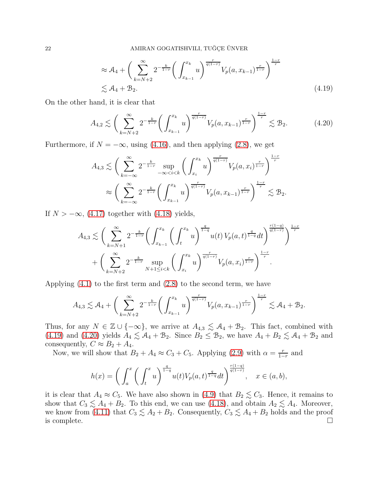<span id="page-21-1"></span><span id="page-21-0"></span>
$$
\approx \mathcal{A}_4 + \left( \sum_{k=N+2}^{\infty} 2^{-\frac{k}{1-r}} \left( \int_{x_{k-1}}^{x_k} u \right)^{\frac{r}{q(1-r)}} V_p(a, x_{k-1})^{\frac{r}{1-r}} \right)^{\frac{1-r}{r}}
$$
  

$$
\lesssim \mathcal{A}_4 + \mathcal{B}_2.
$$
 (4.19)

On the other hand, it is clear that

$$
A_{4,2} \lesssim \left(\sum_{k=N+2}^{\infty} 2^{-\frac{k}{1-r}} \left(\int_{x_{k-1}}^{x_k} u\right)^{\frac{r}{q(1-r)}} V_p(a, x_{k-1})^{\frac{r}{1-r}}\right)^{\frac{1-r}{r}} \lesssim \mathcal{B}_2. \tag{4.20}
$$

Furthermore, if  $N = -\infty$ , using [\(4.16\)](#page-19-0), and then applying [\(2.8\)](#page-5-1), we get

$$
A_{4,3} \lesssim \bigg(\sum_{k=-\infty}^{\infty} 2^{-\frac{k}{1-r}} \sup_{-\infty < i < k} \bigg(\int_{x_i}^{x_k} u\bigg)^{\frac{r}{q(1-r)}} V_p(a, x_i)^{\frac{r}{1-r}} \bigg)^{\frac{1-r}{r}} \times \\ \approx \bigg(\sum_{k=-\infty}^{\infty} 2^{-\frac{k}{1-r}} \bigg(\int_{x_{k-1}}^{x_k} u\bigg)^{\frac{r}{q(1-r)}} V_p(a, x_{k-1})^{\frac{r}{1-r}} \bigg)^{\frac{1-r}{r}} \lesssim \mathcal{B}_2.
$$

If  $N > -\infty$ , [\(4.17\)](#page-19-1) together with [\(4.18\)](#page-19-2) yields,

$$
A_{4,3} \lesssim \bigg(\sum_{k=N+1}^{\infty} 2^{-\frac{k}{1-r}} \bigg(\int_{x_{k-1}}^{x_k} \bigg(\int_t^{x_k} u\bigg)^{\frac{q}{1-q}} u(t) \, V_p(a,t)^{\frac{q}{1-q}} dt \bigg)^{\frac{r(1-q)}{q(1-r)}} \bigg)^{\frac{1-r}{r}} + \bigg(\sum_{k=N+2}^{\infty} 2^{-\frac{k}{1-r}} \sup_{N+1 \le i < k} \bigg(\int_{x_i}^{x_k} u\bigg)^{\frac{r}{q(1-r)}} V_p(a,x_i)^{\frac{r}{1-r}} \bigg)^{\frac{1-r}{r}}.
$$

Applying [\(4.1\)](#page-10-1) to the first term and [\(2.8\)](#page-5-1) to the second term, we have

$$
A_{4,3} \lesssim \mathcal{A}_4 + \bigg( \sum_{k=N+2}^\infty 2^{-\frac{k}{1-r}} \bigg( \int_{x_{k-1}}^{x_k} u \bigg)^{\frac{r}{q(1-r)}} V_p(a,x_{k-1})^{\frac{r}{1-r}} \bigg)^{\frac{1-r}{r}} \lesssim \mathcal{A}_4 + \mathcal{B}_2.
$$

Thus, for any  $N \in \mathbb{Z} \cup \{-\infty\}$ , we arrive at  $A_{4,3} \lesssim A_4 + B_2$ . This fact, combined with [\(4.19\)](#page-21-0) and [\(4.20\)](#page-21-1) yields  $A_4 \lesssim A_4 + B_2$ . Since  $B_2 \leq B_2$ , we have  $A_4 + B_2 \lesssim A_4 + B_2$  and consequently,  $C \approx B_2 + A_4$ .

Now, we will show that  $B_2 + A_4 \approx C_3 + C_5$ . Applying [\(2.9\)](#page-6-0) with  $\alpha = \frac{r}{1-r}$  $\frac{r}{1-r}$  and

$$
h(x) = \left(\int_a^x \left(\int_t^x u\right)^{\frac{q}{1-q}} u(t) V_p(a,t)^{\frac{q}{1-q}} dt\right)^{\frac{r(1-q)}{q(1-r)}}, \quad x \in (a,b),
$$

it is clear that  $A_4 \approx C_5$ . We have also shown in [\(4.9\)](#page-14-0) that  $B_2 \lesssim C_3$ . Hence, it remains to show that  $C_3 \lesssim A_4 + B_2$ . To this end, we can use [\(4.18\)](#page-19-2), and obtain  $A_2 \lesssim A_4$ . Moreover, we know from [\(4.11\)](#page-16-0) that  $C_3 \lesssim A_2 + B_2$ . Consequently,  $C_3 \lesssim A_4 + B_2$  holds and the proof is complete.  $\Box$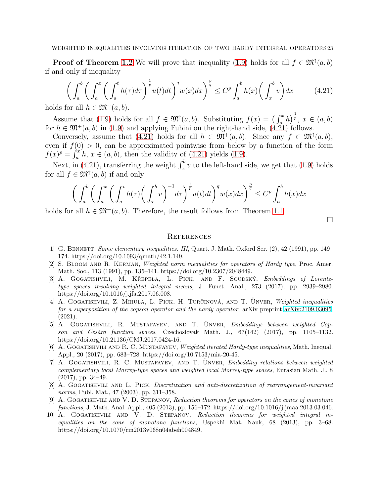**Proof of Theorem [1.2](#page-3-0)** We will prove that inequality [\(1.9\)](#page-3-2) holds for all  $f \in \mathfrak{M}^{\uparrow}(a, b)$ if and only if inequality

<span id="page-22-10"></span>
$$
\left(\int_{a}^{b} \left(\int_{a}^{x} \left(\int_{a}^{t} h(\tau)d\tau\right)^{\frac{1}{p}} u(t)dt\right)^{q} w(x)dx\right)^{\frac{p}{q}} \leq C^{p} \int_{a}^{b} h(x) \left(\int_{x}^{b} v\right) dx \tag{4.21}
$$

holds for all  $h \in \mathfrak{M}^+(a, b)$ .

Assume that [\(1.9\)](#page-3-2) holds for all  $f \in \mathfrak{M}^{\dagger}(a, b)$ . Substituting  $f(x) = (\int_a^x h)^{\frac{1}{p}}, x \in (a, b)$ for  $h \in \mathfrak{M}^+(a, b)$  in [\(1.9\)](#page-3-2) and applying Fubini on the right-hand side, [\(4.21\)](#page-22-10) follows.

Conversely, assume that [\(4.21\)](#page-22-10) holds for all  $h \in \mathfrak{M}^+(a, b)$ . Since any  $f \in \mathfrak{M}^+(a, b)$ , even if  $f(0) > 0$ , can be approximated pointwise from below by a function of the form  $f(x)^p = \int_a^x h, x \in (a, b)$ , then the validity of [\(4.21\)](#page-22-10) yields [\(1.9\)](#page-3-2).

Next, in [\(4.21\)](#page-22-10), transferring the weight  $\int_x^b v$  to the left-hand side, we get that [\(1.9\)](#page-3-2) holds for all  $f \in \mathfrak{M}^{\uparrow}(a, b)$  if and only

$$
\bigg(\int_a^b \bigg(\int_a^x \bigg(\int_a^t h(\tau) \bigg(\int_\tau^b v\bigg)^{-1} d\tau\bigg)^{\frac{1}{p}} u(t) dt\bigg)^q w(x) dx\bigg)^{\frac{p}{q}} \le C^p \int_a^b h(x) dx
$$

holds for all  $h \in \mathfrak{M}^+(a, b)$ . Therefore, the result follows from Theorem [1.1.](#page-2-0)

 $\Box$ 

#### **REFERENCES**

- <span id="page-22-9"></span>[1] G. BENNETT, *Some elementary inequalities. III*, Quart. J. Math. Oxford Ser. (2), 42 (1991), pp. 149– 174. https://doi.org/10.1093/qmath/42.1.149.
- <span id="page-22-4"></span>[2] S. Bloom and R. Kerman, *Weighted norm inequalities for operators of Hardy type*, Proc. Amer. Math. Soc., 113 (1991), pp. 135–141. https://doi.org/10.2307/2048449.
- <span id="page-22-0"></span>[3] A. GOGATISHVILI, M. KŘEPELA, L. PICK, AND F. SOUDSKÝ, *Embeddings of Lorentztype spaces involving weighted integral means*, J. Funct. Anal., 273 (2017), pp. 2939–2980. https://doi.org/10.1016/j.jfa.2017.06.008.
- <span id="page-22-3"></span>[4] A. GOGATISHVILI, Z. MIHULA, L. PICK, H. TURČINOVÁ, AND T. ÜNVER, *Weighted inequalities for a superposition of the copson operator and the hardy operator*, arXiv preprint [arXiv:2109.03095,](http://arxiv.org/abs/2109.03095) (2021).
- <span id="page-22-1"></span>[5] A. GOGATISHVILI, R. MUSTAFAYEV, AND T. UNVER, *Embeddings between weighted Copson and Ces`aro function spaces*, Czechoslovak Math. J., 67(142) (2017), pp. 1105–1132. https://doi.org/10.21136/CMJ.2017.0424-16.
- <span id="page-22-7"></span>[6] A. Gogatishvili and R. C. Mustafayev, *Weighted iterated Hardy-type inequalities*, Math. Inequal. Appl., 20 (2017), pp. 683–728. https://doi.org/10.7153/mia-20-45.
- <span id="page-22-2"></span>[7] A. GOGATISHVILI, R. C. MUSTAFAYEV, AND T. UNVER, *Embedding relations between weighted complementary local Morrey-type spaces and weighted local Morrey-type spaces*, Eurasian Math. J., 8 (2017), pp. 34–49.
- <span id="page-22-8"></span>[8] A. Gogatishvili and L. Pick, *Discretization and anti-discretization of rearrangement-invariant norms*, Publ. Mat., 47 (2003), pp. 311–358.
- <span id="page-22-6"></span>[9] A. Gogatishvili and V. D. Stepanov, *Reduction theorems for operators on the cones of monotone functions*, J. Math. Anal. Appl., 405 (2013), pp. 156–172. https://doi.org/10.1016/j.jmaa.2013.03.046.
- <span id="page-22-5"></span>[10] A. Gogatishvili and V. D. Stepanov, *Reduction theorems for weighted integral inequalities on the cone of monotone functions*, Uspekhi Mat. Nauk, 68 (2013), pp. 3–68. https://doi.org/10.1070/rm2013v068n04abeh004849.